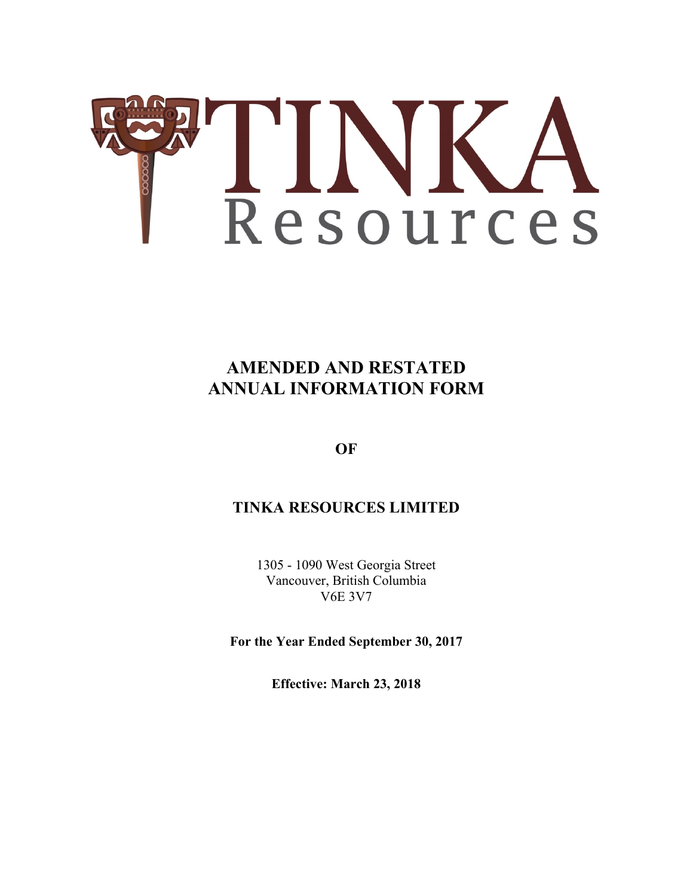

# **AMENDED AND RESTATED ANNUAL INFORMATION FORM**

**OF** 

# **TINKA RESOURCES LIMITED**

1305 - 1090 West Georgia Street Vancouver, British Columbia V6E 3V7

**For the Year Ended September 30, 2017** 

**Effective: March 23, 2018**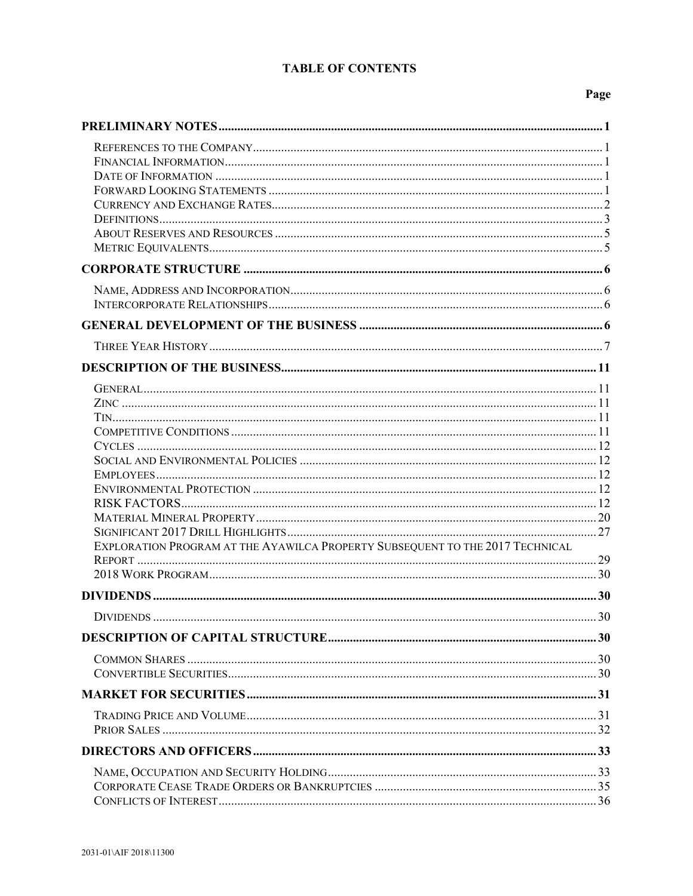# **TABLE OF CONTENTS**

# Page

| EXPLORATION PROGRAM AT THE AYAWILCA PROPERTY SUBSEQUENT TO THE 2017 TECHNICAL |  |
|-------------------------------------------------------------------------------|--|
|                                                                               |  |
|                                                                               |  |
|                                                                               |  |
|                                                                               |  |
|                                                                               |  |
|                                                                               |  |
|                                                                               |  |
|                                                                               |  |
|                                                                               |  |
|                                                                               |  |
|                                                                               |  |
|                                                                               |  |
|                                                                               |  |
|                                                                               |  |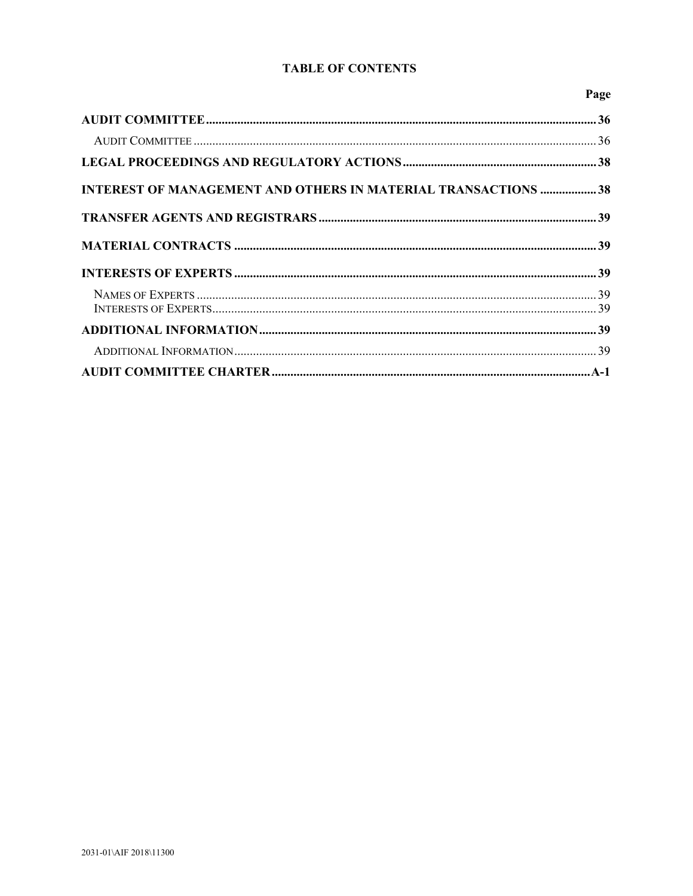## **TABLE OF CONTENTS**

Page

| <b>INTEREST OF MANAGEMENT AND OTHERS IN MATERIAL TRANSACTIONS  38</b> |  |
|-----------------------------------------------------------------------|--|
|                                                                       |  |
|                                                                       |  |
|                                                                       |  |
|                                                                       |  |
|                                                                       |  |
|                                                                       |  |
|                                                                       |  |
|                                                                       |  |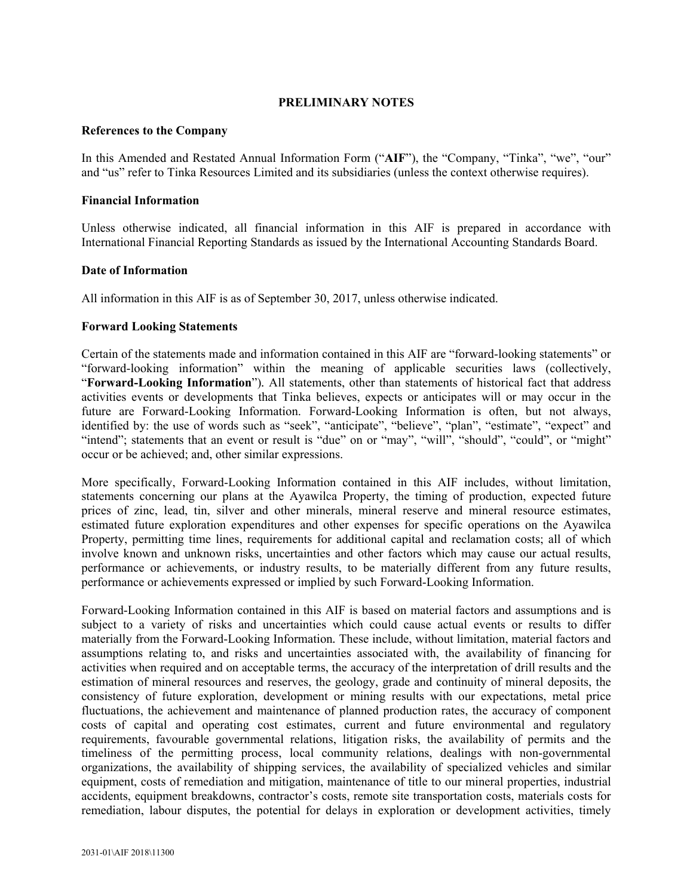### **PRELIMINARY NOTES**

### **References to the Company**

In this Amended and Restated Annual Information Form ("**AIF**"), the "Company, "Tinka", "we", "our" and "us" refer to Tinka Resources Limited and its subsidiaries (unless the context otherwise requires).

### **Financial Information**

Unless otherwise indicated, all financial information in this AIF is prepared in accordance with International Financial Reporting Standards as issued by the International Accounting Standards Board.

### **Date of Information**

All information in this AIF is as of September 30, 2017, unless otherwise indicated.

### **Forward Looking Statements**

Certain of the statements made and information contained in this AIF are "forward-looking statements" or "forward-looking information" within the meaning of applicable securities laws (collectively, "**Forward-Looking Information**")*.* All statements, other than statements of historical fact that address activities events or developments that Tinka believes, expects or anticipates will or may occur in the future are Forward-Looking Information. Forward-Looking Information is often, but not always, identified by: the use of words such as "seek", "anticipate", "believe", "plan", "estimate", "expect" and "intend"; statements that an event or result is "due" on or "may", "will", "should", "could", or "might" occur or be achieved; and, other similar expressions.

More specifically, Forward-Looking Information contained in this AIF includes, without limitation, statements concerning our plans at the Ayawilca Property, the timing of production, expected future prices of zinc, lead, tin, silver and other minerals, mineral reserve and mineral resource estimates, estimated future exploration expenditures and other expenses for specific operations on the Ayawilca Property, permitting time lines, requirements for additional capital and reclamation costs; all of which involve known and unknown risks, uncertainties and other factors which may cause our actual results, performance or achievements, or industry results, to be materially different from any future results, performance or achievements expressed or implied by such Forward-Looking Information.

Forward-Looking Information contained in this AIF is based on material factors and assumptions and is subject to a variety of risks and uncertainties which could cause actual events or results to differ materially from the Forward-Looking Information*.* These include, without limitation, material factors and assumptions relating to, and risks and uncertainties associated with, the availability of financing for activities when required and on acceptable terms, the accuracy of the interpretation of drill results and the estimation of mineral resources and reserves, the geology, grade and continuity of mineral deposits, the consistency of future exploration, development or mining results with our expectations, metal price fluctuations, the achievement and maintenance of planned production rates, the accuracy of component costs of capital and operating cost estimates, current and future environmental and regulatory requirements, favourable governmental relations, litigation risks, the availability of permits and the timeliness of the permitting process, local community relations, dealings with non-governmental organizations, the availability of shipping services, the availability of specialized vehicles and similar equipment, costs of remediation and mitigation, maintenance of title to our mineral properties, industrial accidents, equipment breakdowns, contractor's costs, remote site transportation costs, materials costs for remediation, labour disputes, the potential for delays in exploration or development activities, timely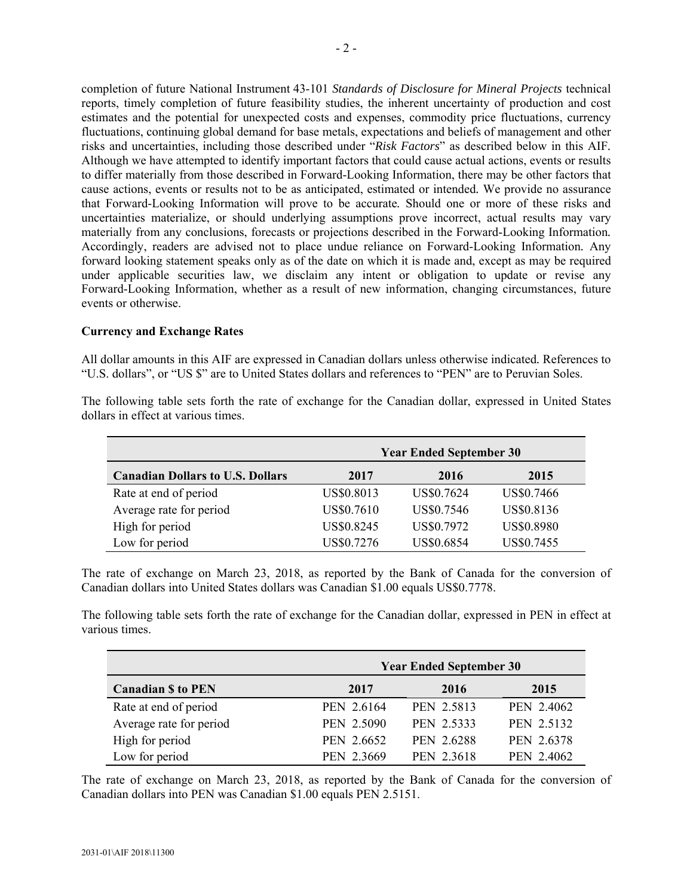completion of future National Instrument 43-101 *Standards of Disclosure for Mineral Projects* technical reports, timely completion of future feasibility studies, the inherent uncertainty of production and cost estimates and the potential for unexpected costs and expenses, commodity price fluctuations, currency fluctuations, continuing global demand for base metals, expectations and beliefs of management and other risks and uncertainties, including those described under "*Risk Factors*" as described below in this AIF*.*  Although we have attempted to identify important factors that could cause actual actions, events or results to differ materially from those described in Forward-Looking Information, there may be other factors that cause actions, events or results not to be as anticipated, estimated or intended*.* We provide no assurance that Forward-Looking Information will prove to be accurate*.* Should one or more of these risks and uncertainties materialize, or should underlying assumptions prove incorrect, actual results may vary materially from any conclusions, forecasts or projections described in the Forward-Looking Information*.*  Accordingly, readers are advised not to place undue reliance on Forward-Looking Information*.* Any forward looking statement speaks only as of the date on which it is made and, except as may be required under applicable securities law, we disclaim any intent or obligation to update or revise any Forward-Looking Information, whether as a result of new information, changing circumstances, future events or otherwise.

#### **Currency and Exchange Rates**

All dollar amounts in this AIF are expressed in Canadian dollars unless otherwise indicated*.* References to "U.S. dollars", or "US \$" are to United States dollars and references to "PEN" are to Peruvian Soles.

|                                         | <b>Year Ended September 30</b> |            |                   |  |
|-----------------------------------------|--------------------------------|------------|-------------------|--|
| <b>Canadian Dollars to U.S. Dollars</b> | 2017                           | 2016       | 2015              |  |
| Rate at end of period                   | US\$0.8013                     | US\$0.7624 | US\$0.7466        |  |
| Average rate for period                 | US\$0.7610                     | US\$0.7546 | US\$0.8136        |  |
| High for period                         | US\$0.8245                     | US\$0.7972 | <b>US\$0.8980</b> |  |
| Low for period                          | US\$0.7276                     | US\$0.6854 | US\$0.7455        |  |

The following table sets forth the rate of exchange for the Canadian dollar, expressed in United States dollars in effect at various times.

The rate of exchange on March 23, 2018, as reported by the Bank of Canada for the conversion of Canadian dollars into United States dollars was Canadian \$1.00 equals US\$0.7778.

The following table sets forth the rate of exchange for the Canadian dollar, expressed in PEN in effect at various times.

|                           |            | <b>Year Ended September 30</b> |            |
|---------------------------|------------|--------------------------------|------------|
| <b>Canadian \$ to PEN</b> | 2017       | 2016                           | 2015       |
| Rate at end of period     | PEN 2.6164 | PEN 2.5813                     | PEN 2.4062 |
| Average rate for period   | PEN 2.5090 | PEN 2.5333                     | PEN 2.5132 |
| High for period           | PEN 2.6652 | PEN 2.6288                     | PEN 2.6378 |
| Low for period            | PEN 2.3669 | PEN 2.3618                     | PEN 2.4062 |

The rate of exchange on March 23, 2018, as reported by the Bank of Canada for the conversion of Canadian dollars into PEN was Canadian \$1.00 equals PEN 2.5151.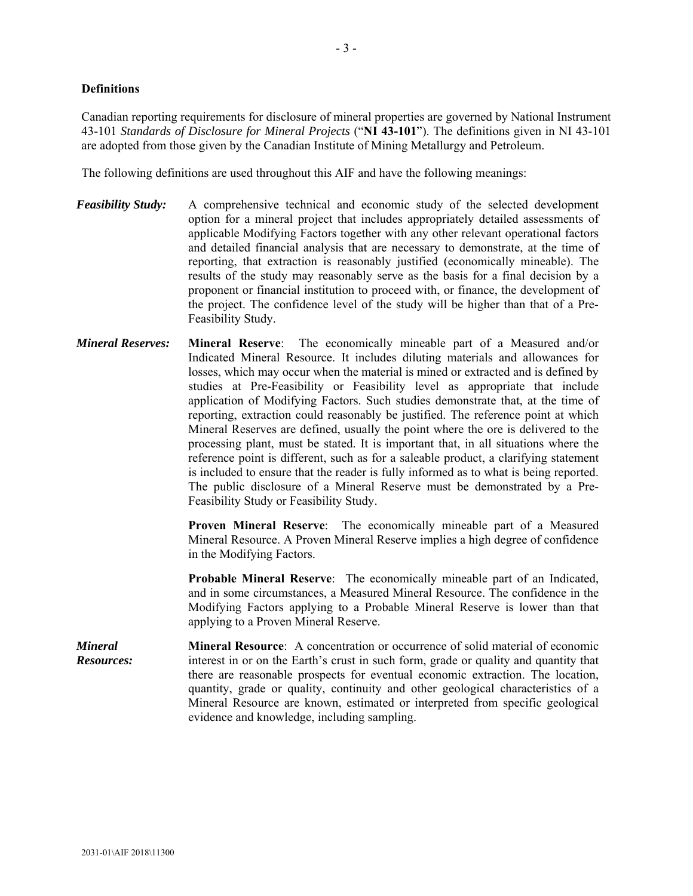#### **Definitions**

Canadian reporting requirements for disclosure of mineral properties are governed by National Instrument 43-101 *Standards of Disclosure for Mineral Projects* ("**NI 43-101**"). The definitions given in NI 43-101 are adopted from those given by the Canadian Institute of Mining Metallurgy and Petroleum.

The following definitions are used throughout this AIF and have the following meanings:

- *Feasibility Study:* A comprehensive technical and economic study of the selected development option for a mineral project that includes appropriately detailed assessments of applicable Modifying Factors together with any other relevant operational factors and detailed financial analysis that are necessary to demonstrate, at the time of reporting, that extraction is reasonably justified (economically mineable). The results of the study may reasonably serve as the basis for a final decision by a proponent or financial institution to proceed with, or finance, the development of the project. The confidence level of the study will be higher than that of a Pre-Feasibility Study.
- *Mineral Reserves:* **Mineral Reserve**: The economically mineable part of a Measured and/or Indicated Mineral Resource. It includes diluting materials and allowances for losses, which may occur when the material is mined or extracted and is defined by studies at Pre-Feasibility or Feasibility level as appropriate that include application of Modifying Factors. Such studies demonstrate that, at the time of reporting, extraction could reasonably be justified. The reference point at which Mineral Reserves are defined, usually the point where the ore is delivered to the processing plant, must be stated. It is important that, in all situations where the reference point is different, such as for a saleable product, a clarifying statement is included to ensure that the reader is fully informed as to what is being reported. The public disclosure of a Mineral Reserve must be demonstrated by a Pre-Feasibility Study or Feasibility Study.

**Proven Mineral Reserve**: The economically mineable part of a Measured Mineral Resource. A Proven Mineral Reserve implies a high degree of confidence in the Modifying Factors.

**Probable Mineral Reserve**: The economically mineable part of an Indicated, and in some circumstances, a Measured Mineral Resource. The confidence in the Modifying Factors applying to a Probable Mineral Reserve is lower than that applying to a Proven Mineral Reserve.

*Mineral Resources:*  **Mineral Resource**: A concentration or occurrence of solid material of economic interest in or on the Earth's crust in such form, grade or quality and quantity that there are reasonable prospects for eventual economic extraction. The location, quantity, grade or quality, continuity and other geological characteristics of a Mineral Resource are known, estimated or interpreted from specific geological evidence and knowledge, including sampling.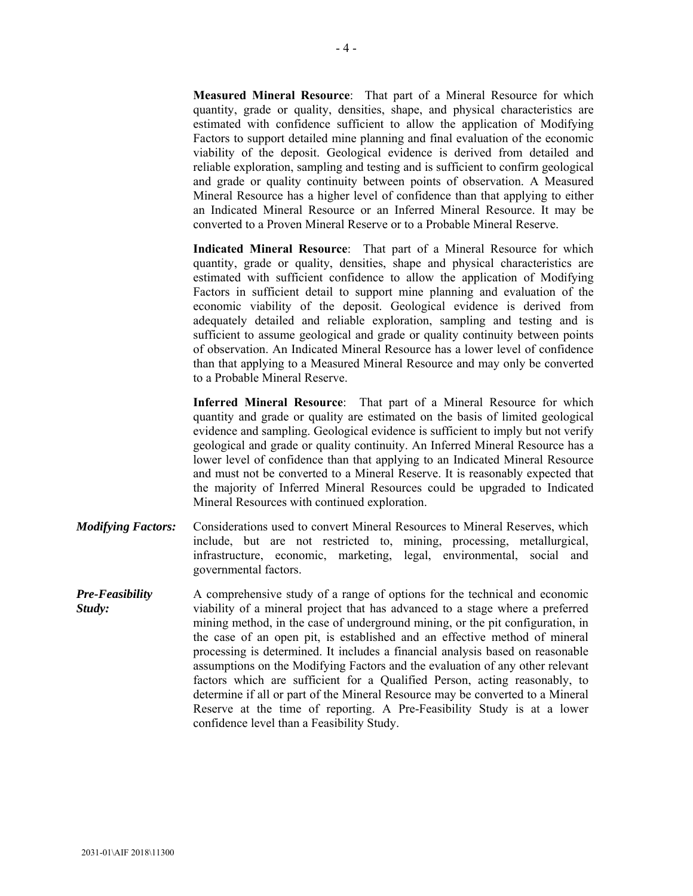**Measured Mineral Resource**: That part of a Mineral Resource for which quantity, grade or quality, densities, shape, and physical characteristics are estimated with confidence sufficient to allow the application of Modifying Factors to support detailed mine planning and final evaluation of the economic viability of the deposit. Geological evidence is derived from detailed and reliable exploration, sampling and testing and is sufficient to confirm geological and grade or quality continuity between points of observation. A Measured Mineral Resource has a higher level of confidence than that applying to either an Indicated Mineral Resource or an Inferred Mineral Resource. It may be converted to a Proven Mineral Reserve or to a Probable Mineral Reserve.

**Indicated Mineral Resource**: That part of a Mineral Resource for which quantity, grade or quality, densities, shape and physical characteristics are estimated with sufficient confidence to allow the application of Modifying Factors in sufficient detail to support mine planning and evaluation of the economic viability of the deposit. Geological evidence is derived from adequately detailed and reliable exploration, sampling and testing and is sufficient to assume geological and grade or quality continuity between points of observation. An Indicated Mineral Resource has a lower level of confidence than that applying to a Measured Mineral Resource and may only be converted to a Probable Mineral Reserve.

**Inferred Mineral Resource**: That part of a Mineral Resource for which quantity and grade or quality are estimated on the basis of limited geological evidence and sampling. Geological evidence is sufficient to imply but not verify geological and grade or quality continuity. An Inferred Mineral Resource has a lower level of confidence than that applying to an Indicated Mineral Resource and must not be converted to a Mineral Reserve. It is reasonably expected that the majority of Inferred Mineral Resources could be upgraded to Indicated Mineral Resources with continued exploration.

- *Modifying Factors:* Considerations used to convert Mineral Resources to Mineral Reserves, which include, but are not restricted to, mining, processing, metallurgical, infrastructure, economic, marketing, legal, environmental, social and governmental factors.
- *Pre-Feasibility Study:*  A comprehensive study of a range of options for the technical and economic viability of a mineral project that has advanced to a stage where a preferred mining method, in the case of underground mining, or the pit configuration, in the case of an open pit, is established and an effective method of mineral processing is determined. It includes a financial analysis based on reasonable assumptions on the Modifying Factors and the evaluation of any other relevant factors which are sufficient for a Qualified Person, acting reasonably, to determine if all or part of the Mineral Resource may be converted to a Mineral Reserve at the time of reporting. A Pre-Feasibility Study is at a lower confidence level than a Feasibility Study.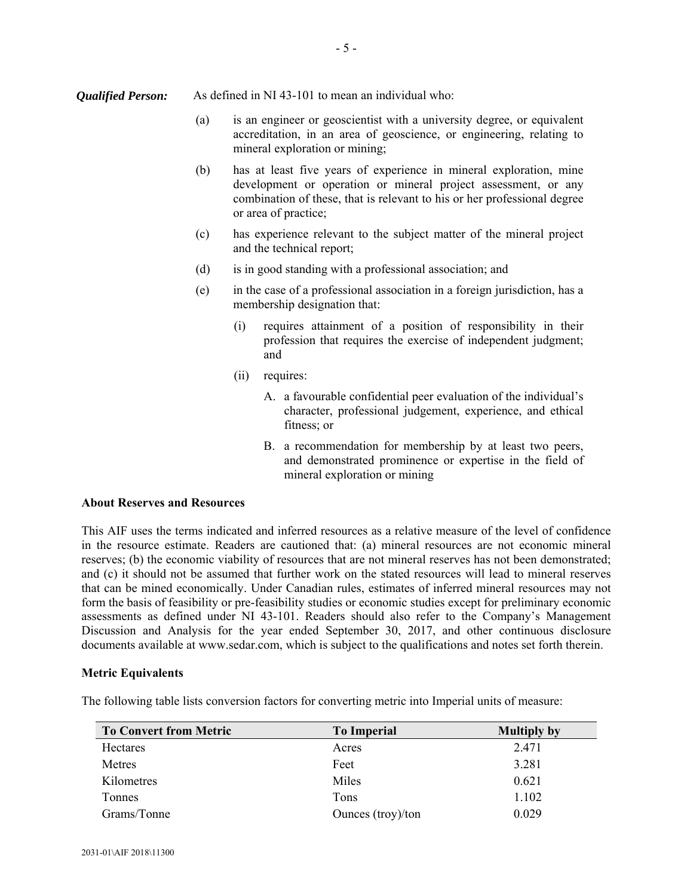- (a) is an engineer or geoscientist with a university degree, or equivalent accreditation, in an area of geoscience, or engineering, relating to mineral exploration or mining;
- (b) has at least five years of experience in mineral exploration, mine development or operation or mineral project assessment, or any combination of these, that is relevant to his or her professional degree or area of practice;
- (c) has experience relevant to the subject matter of the mineral project and the technical report;
- (d) is in good standing with a professional association; and
- (e) in the case of a professional association in a foreign jurisdiction, has a membership designation that:
	- (i) requires attainment of a position of responsibility in their profession that requires the exercise of independent judgment; and
	- (ii) requires:
		- A. a favourable confidential peer evaluation of the individual's character, professional judgement, experience, and ethical fitness; or
		- B. a recommendation for membership by at least two peers, and demonstrated prominence or expertise in the field of mineral exploration or mining

### **About Reserves and Resources**

This AIF uses the terms indicated and inferred resources as a relative measure of the level of confidence in the resource estimate. Readers are cautioned that: (a) mineral resources are not economic mineral reserves; (b) the economic viability of resources that are not mineral reserves has not been demonstrated; and (c) it should not be assumed that further work on the stated resources will lead to mineral reserves that can be mined economically. Under Canadian rules, estimates of inferred mineral resources may not form the basis of feasibility or pre-feasibility studies or economic studies except for preliminary economic assessments as defined under NI 43-101. Readers should also refer to the Company's Management Discussion and Analysis for the year ended September 30, 2017, and other continuous disclosure documents available at www.sedar.com, which is subject to the qualifications and notes set forth therein.

#### **Metric Equivalents**

The following table lists conversion factors for converting metric into Imperial units of measure:

| <b>To Convert from Metric</b> | <b>To Imperial</b> | <b>Multiply by</b> |
|-------------------------------|--------------------|--------------------|
| <b>Hectares</b>               | Acres              | 2.471              |
| Metres                        | Feet               | 3.281              |
| Kilometres                    | Miles              | 0.621              |
| <b>Tonnes</b>                 | Tons               | 1.102              |
| Grams/Tonne                   | Ounces (troy)/ton  | 0.029              |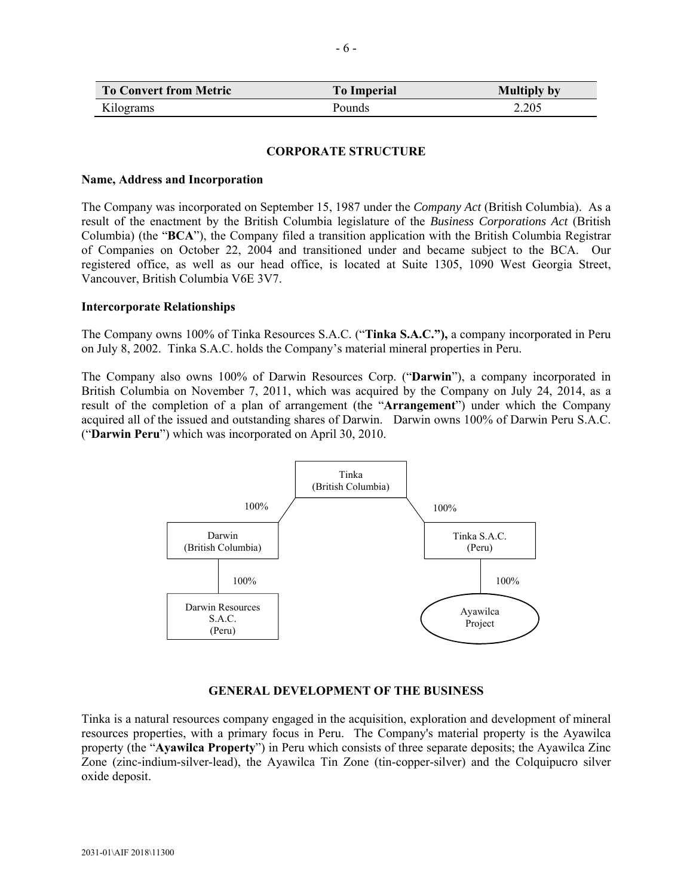| <b>To Convert from Metric</b> | <b>To Imperial</b> | <b>Multiply by</b> |
|-------------------------------|--------------------|--------------------|
| Kilograms                     | Pounds             | 2.205              |

#### **CORPORATE STRUCTURE**

#### **Name, Address and Incorporation**

The Company was incorporated on September 15, 1987 under the *Company Act* (British Columbia). As a result of the enactment by the British Columbia legislature of the *Business Corporations Act* (British Columbia) (the "**BCA**"), the Company filed a transition application with the British Columbia Registrar of Companies on October 22, 2004 and transitioned under and became subject to the BCA. Our registered office, as well as our head office, is located at Suite 1305, 1090 West Georgia Street, Vancouver, British Columbia V6E 3V7.

#### **Intercorporate Relationships**

The Company owns 100% of Tinka Resources S.A.C. ("**Tinka S.A.C."),** a company incorporated in Peru on July 8, 2002. Tinka S.A.C. holds the Company's material mineral properties in Peru.

The Company also owns 100% of Darwin Resources Corp. ("**Darwin**"), a company incorporated in British Columbia on November 7, 2011, which was acquired by the Company on July 24, 2014, as a result of the completion of a plan of arrangement (the "**Arrangement**") under which the Company acquired all of the issued and outstanding shares of Darwin. Darwin owns 100% of Darwin Peru S.A.C. ("**Darwin Peru**") which was incorporated on April 30, 2010.



### **GENERAL DEVELOPMENT OF THE BUSINESS**

Tinka is a natural resources company engaged in the acquisition, exploration and development of mineral resources properties, with a primary focus in Peru. The Company's material property is the Ayawilca property (the "**Ayawilca Property**") in Peru which consists of three separate deposits; the Ayawilca Zinc Zone (zinc-indium-silver-lead), the Ayawilca Tin Zone (tin-copper-silver) and the Colquipucro silver oxide deposit.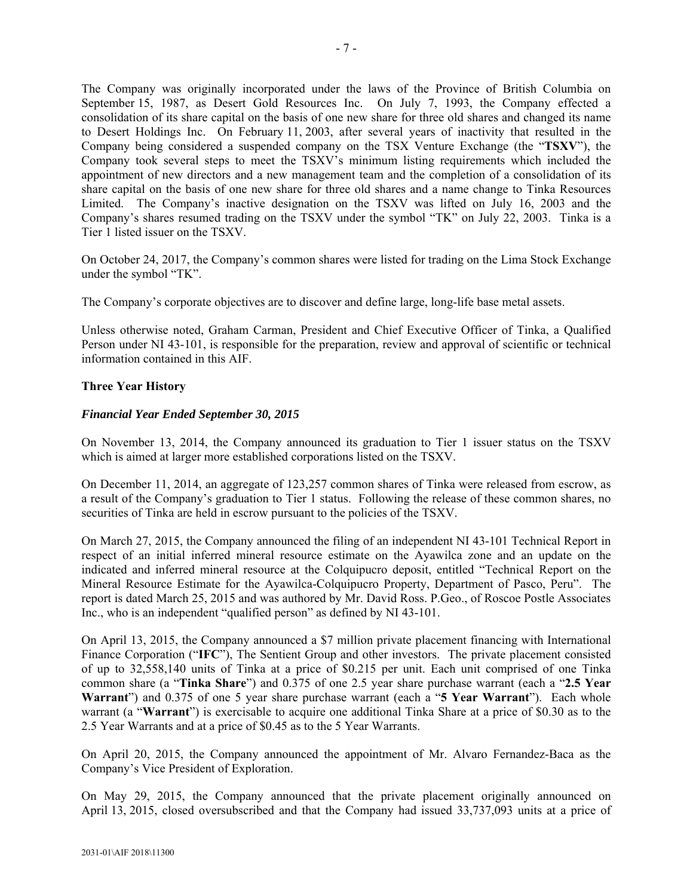The Company was originally incorporated under the laws of the Province of British Columbia on September 15, 1987, as Desert Gold Resources Inc. On July 7, 1993, the Company effected a consolidation of its share capital on the basis of one new share for three old shares and changed its name to Desert Holdings Inc. On February 11, 2003, after several years of inactivity that resulted in the Company being considered a suspended company on the TSX Venture Exchange (the "**TSXV**"), the Company took several steps to meet the TSXV's minimum listing requirements which included the appointment of new directors and a new management team and the completion of a consolidation of its share capital on the basis of one new share for three old shares and a name change to Tinka Resources Limited. The Company's inactive designation on the TSXV was lifted on July 16, 2003 and the Company's shares resumed trading on the TSXV under the symbol "TK" on July 22, 2003. Tinka is a Tier 1 listed issuer on the TSXV.

On October 24, 2017, the Company's common shares were listed for trading on the Lima Stock Exchange under the symbol "TK".

The Company's corporate objectives are to discover and define large, long-life base metal assets.

Unless otherwise noted, Graham Carman, President and Chief Executive Officer of Tinka, a Qualified Person under NI 43-101, is responsible for the preparation, review and approval of scientific or technical information contained in this AIF.

### **Three Year History**

### *Financial Year Ended September 30, 2015*

On November 13, 2014, the Company announced its graduation to Tier 1 issuer status on the TSXV which is aimed at larger more established corporations listed on the TSXV.

On December 11, 2014, an aggregate of 123,257 common shares of Tinka were released from escrow, as a result of the Company's graduation to Tier 1 status. Following the release of these common shares, no securities of Tinka are held in escrow pursuant to the policies of the TSXV.

On March 27, 2015, the Company announced the filing of an independent NI 43-101 Technical Report in respect of an initial inferred mineral resource estimate on the Ayawilca zone and an update on the indicated and inferred mineral resource at the Colquipucro deposit, entitled "Technical Report on the Mineral Resource Estimate for the Ayawilca-Colquipucro Property, Department of Pasco, Peru". The report is dated March 25, 2015 and was authored by Mr. David Ross. P.Geo., of Roscoe Postle Associates Inc., who is an independent "qualified person" as defined by NI 43-101.

On April 13, 2015, the Company announced a \$7 million private placement financing with International Finance Corporation ("**IFC**"), The Sentient Group and other investors. The private placement consisted of up to 32,558,140 units of Tinka at a price of \$0.215 per unit. Each unit comprised of one Tinka common share (a "**Tinka Share**") and 0.375 of one 2.5 year share purchase warrant (each a "**2.5 Year Warrant**") and 0.375 of one 5 year share purchase warrant (each a "**5 Year Warrant**"). Each whole warrant (a "**Warrant**") is exercisable to acquire one additional Tinka Share at a price of \$0.30 as to the 2.5 Year Warrants and at a price of \$0.45 as to the 5 Year Warrants.

On April 20, 2015, the Company announced the appointment of Mr. Alvaro Fernandez-Baca as the Company's Vice President of Exploration.

On May 29, 2015, the Company announced that the private placement originally announced on April 13, 2015, closed oversubscribed and that the Company had issued 33,737,093 units at a price of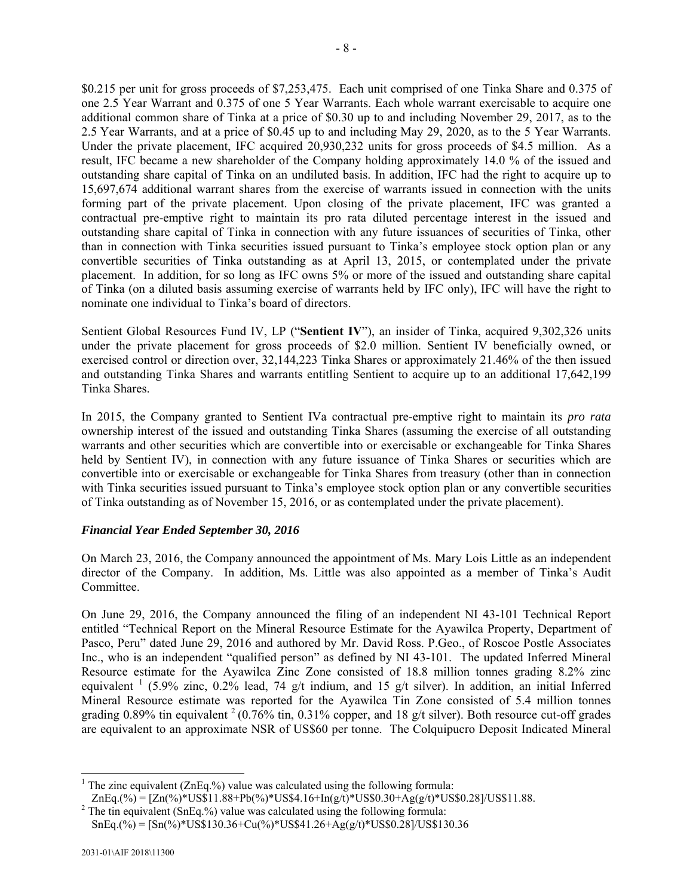\$0.215 per unit for gross proceeds of \$7,253,475. Each unit comprised of one Tinka Share and 0.375 of one 2.5 Year Warrant and 0.375 of one 5 Year Warrants. Each whole warrant exercisable to acquire one additional common share of Tinka at a price of \$0.30 up to and including November 29, 2017, as to the 2.5 Year Warrants, and at a price of \$0.45 up to and including May 29, 2020, as to the 5 Year Warrants. Under the private placement, IFC acquired 20,930,232 units for gross proceeds of \$4.5 million. As a result, IFC became a new shareholder of the Company holding approximately 14.0 % of the issued and outstanding share capital of Tinka on an undiluted basis. In addition, IFC had the right to acquire up to 15,697,674 additional warrant shares from the exercise of warrants issued in connection with the units forming part of the private placement. Upon closing of the private placement, IFC was granted a contractual pre-emptive right to maintain its pro rata diluted percentage interest in the issued and outstanding share capital of Tinka in connection with any future issuances of securities of Tinka, other than in connection with Tinka securities issued pursuant to Tinka's employee stock option plan or any convertible securities of Tinka outstanding as at April 13, 2015, or contemplated under the private placement. In addition, for so long as IFC owns 5% or more of the issued and outstanding share capital of Tinka (on a diluted basis assuming exercise of warrants held by IFC only), IFC will have the right to nominate one individual to Tinka's board of directors.

Sentient Global Resources Fund IV, LP ("**Sentient IV**"), an insider of Tinka, acquired 9,302,326 units under the private placement for gross proceeds of \$2.0 million. Sentient IV beneficially owned, or exercised control or direction over, 32,144,223 Tinka Shares or approximately 21.46% of the then issued and outstanding Tinka Shares and warrants entitling Sentient to acquire up to an additional 17,642,199 Tinka Shares.

In 2015, the Company granted to Sentient IVa contractual pre-emptive right to maintain its *pro rata* ownership interest of the issued and outstanding Tinka Shares (assuming the exercise of all outstanding warrants and other securities which are convertible into or exercisable or exchangeable for Tinka Shares held by Sentient IV), in connection with any future issuance of Tinka Shares or securities which are convertible into or exercisable or exchangeable for Tinka Shares from treasury (other than in connection with Tinka securities issued pursuant to Tinka's employee stock option plan or any convertible securities of Tinka outstanding as of November 15, 2016, or as contemplated under the private placement).

### *Financial Year Ended September 30, 2016*

On March 23, 2016, the Company announced the appointment of Ms. Mary Lois Little as an independent director of the Company. In addition, Ms. Little was also appointed as a member of Tinka's Audit Committee.

On June 29, 2016, the Company announced the filing of an independent NI 43-101 Technical Report entitled "Technical Report on the Mineral Resource Estimate for the Ayawilca Property, Department of Pasco, Peru" dated June 29, 2016 and authored by Mr. David Ross. P.Geo., of Roscoe Postle Associates Inc., who is an independent "qualified person" as defined by NI 43-101. The updated Inferred Mineral Resource estimate for the Ayawilca Zinc Zone consisted of 18.8 million tonnes grading 8.2% zinc equivalent  $\frac{1}{1}$  (5.9% zinc, 0.2% lead, 74 g/t indium, and 15 g/t silver). In addition, an initial Inferred Mineral Resource estimate was reported for the Ayawilca Tin Zone consisted of 5.4 million tonnes grading 0.89% tin equivalent  $2(0.76\%$  tin, 0.31% copper, and 18 g/t silver). Both resource cut-off grades are equivalent to an approximate NSR of US\$60 per tonne. The Colquipucro Deposit Indicated Mineral

l <sup>1</sup> The zinc equivalent (ZnEq.%) value was calculated using the following formula:

 $ZnEq.(\%) = [Zn(\%) * US$11.88 + Pb(\%) * USS4.16 + In(g/t) * USS0.30 + Ag(g/t) * USS0.28]/USS11.88.$  $2$  The tin equivalent (SnEq.%) value was calculated using the following formula:

 $SnEq.(\%) = [Sn(\%) * US$130.36 + Cu(\%) * USS$126 + Ag(g/t) * USS0.28]/USS130.36$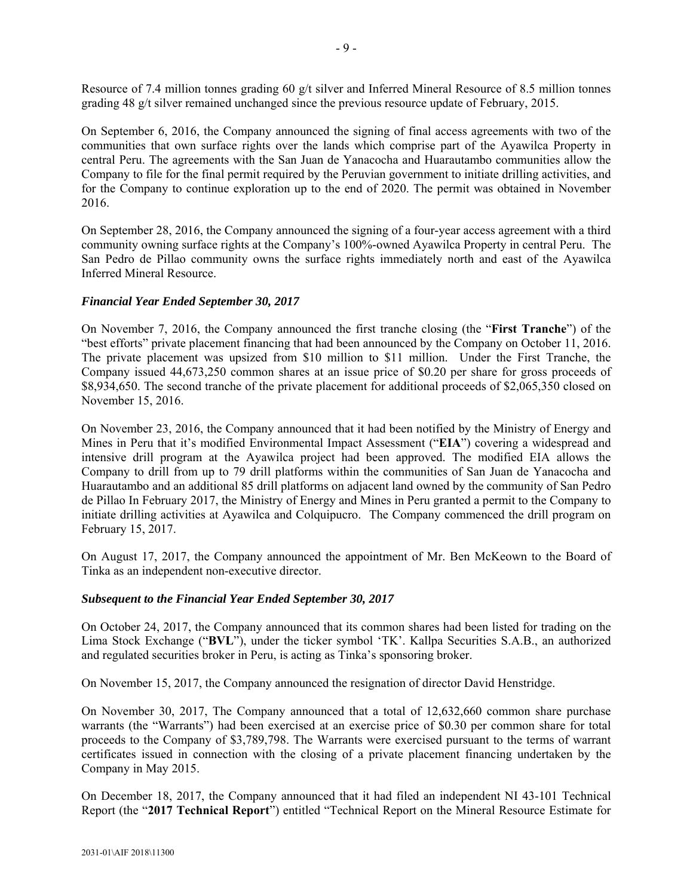Resource of 7.4 million tonnes grading 60 g/t silver and Inferred Mineral Resource of 8.5 million tonnes grading 48 g/t silver remained unchanged since the previous resource update of February, 2015.

On September 6, 2016, the Company announced the signing of final access agreements with two of the communities that own surface rights over the lands which comprise part of the Ayawilca Property in central Peru. The agreements with the San Juan de Yanacocha and Huarautambo communities allow the Company to file for the final permit required by the Peruvian government to initiate drilling activities, and for the Company to continue exploration up to the end of 2020. The permit was obtained in November 2016.

On September 28, 2016, the Company announced the signing of a four-year access agreement with a third community owning surface rights at the Company's 100%-owned Ayawilca Property in central Peru. The San Pedro de Pillao community owns the surface rights immediately north and east of the Ayawilca Inferred Mineral Resource.

### *Financial Year Ended September 30, 2017*

On November 7, 2016, the Company announced the first tranche closing (the "**First Tranche**") of the "best efforts" private placement financing that had been announced by the Company on October 11, 2016. The private placement was upsized from \$10 million to \$11 million. Under the First Tranche, the Company issued 44,673,250 common shares at an issue price of \$0.20 per share for gross proceeds of \$8,934,650. The second tranche of the private placement for additional proceeds of \$2,065,350 closed on November 15, 2016.

On November 23, 2016, the Company announced that it had been notified by the Ministry of Energy and Mines in Peru that it's modified Environmental Impact Assessment ("**EIA**") covering a widespread and intensive drill program at the Ayawilca project had been approved. The modified EIA allows the Company to drill from up to 79 drill platforms within the communities of San Juan de Yanacocha and Huarautambo and an additional 85 drill platforms on adjacent land owned by the community of San Pedro de Pillao In February 2017, the Ministry of Energy and Mines in Peru granted a permit to the Company to initiate drilling activities at Ayawilca and Colquipucro. The Company commenced the drill program on February 15, 2017.

On August 17, 2017, the Company announced the appointment of Mr. Ben McKeown to the Board of Tinka as an independent non-executive director.

#### *Subsequent to the Financial Year Ended September 30, 2017*

On October 24, 2017, the Company announced that its common shares had been listed for trading on the Lima Stock Exchange ("**BVL**"), under the ticker symbol 'TK'. Kallpa Securities S.A.B., an authorized and regulated securities broker in Peru, is acting as Tinka's sponsoring broker.

On November 15, 2017, the Company announced the resignation of director David Henstridge.

On November 30, 2017, The Company announced that a total of 12,632,660 common share purchase warrants (the "Warrants") had been exercised at an exercise price of \$0.30 per common share for total proceeds to the Company of \$3,789,798. The Warrants were exercised pursuant to the terms of warrant certificates issued in connection with the closing of a private placement financing undertaken by the Company in May 2015.

On December 18, 2017, the Company announced that it had filed an independent NI 43-101 Technical Report (the "**2017 Technical Report**") entitled "Technical Report on the Mineral Resource Estimate for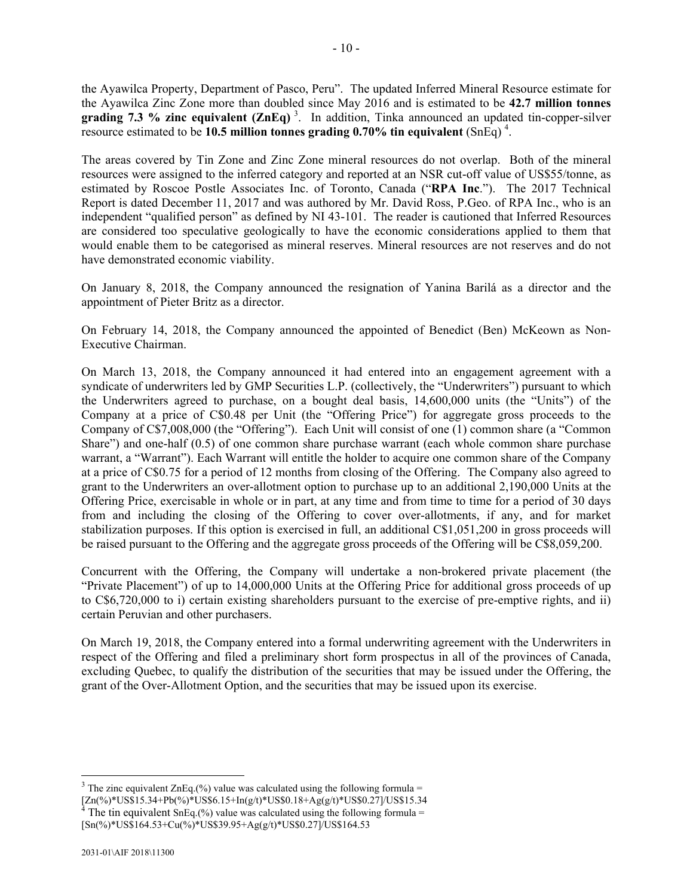the Ayawilca Property, Department of Pasco, Peru". The updated Inferred Mineral Resource estimate for the Ayawilca Zinc Zone more than doubled since May 2016 and is estimated to be **42.7 million tonnes grading 7.3 % zinc equivalent (ZnEq)**<sup>3</sup>. In addition, Tinka announced an updated tin-copper-silver resource estimated to be **10.5 million tonnes grading 0.70% tin equivalent** (SnEq)<sup>4</sup>.

The areas covered by Tin Zone and Zinc Zone mineral resources do not overlap. Both of the mineral resources were assigned to the inferred category and reported at an NSR cut-off value of US\$55/tonne, as estimated by Roscoe Postle Associates Inc. of Toronto, Canada ("**RPA Inc**."). The 2017 Technical Report is dated December 11, 2017 and was authored by Mr. David Ross, P.Geo. of RPA Inc., who is an independent "qualified person" as defined by NI 43-101. The reader is cautioned that Inferred Resources are considered too speculative geologically to have the economic considerations applied to them that would enable them to be categorised as mineral reserves. Mineral resources are not reserves and do not have demonstrated economic viability.

On January 8, 2018, the Company announced the resignation of Yanina Barilá as a director and the appointment of Pieter Britz as a director.

On February 14, 2018, the Company announced the appointed of Benedict (Ben) McKeown as Non-Executive Chairman.

On March 13, 2018, the Company announced it had entered into an engagement agreement with a syndicate of underwriters led by GMP Securities L.P. (collectively, the "Underwriters") pursuant to which the Underwriters agreed to purchase, on a bought deal basis, 14,600,000 units (the "Units") of the Company at a price of C\$0.48 per Unit (the "Offering Price") for aggregate gross proceeds to the Company of C\$7,008,000 (the "Offering"). Each Unit will consist of one (1) common share (a "Common Share") and one-half (0.5) of one common share purchase warrant (each whole common share purchase warrant, a "Warrant"). Each Warrant will entitle the holder to acquire one common share of the Company at a price of C\$0.75 for a period of 12 months from closing of the Offering. The Company also agreed to grant to the Underwriters an over-allotment option to purchase up to an additional 2,190,000 Units at the Offering Price, exercisable in whole or in part, at any time and from time to time for a period of 30 days from and including the closing of the Offering to cover over-allotments, if any, and for market stabilization purposes. If this option is exercised in full, an additional C\$1,051,200 in gross proceeds will be raised pursuant to the Offering and the aggregate gross proceeds of the Offering will be C\$8,059,200.

Concurrent with the Offering, the Company will undertake a non-brokered private placement (the "Private Placement") of up to 14,000,000 Units at the Offering Price for additional gross proceeds of up to C\$6,720,000 to i) certain existing shareholders pursuant to the exercise of pre-emptive rights, and ii) certain Peruvian and other purchasers.

On March 19, 2018, the Company entered into a formal underwriting agreement with the Underwriters in respect of the Offering and filed a preliminary short form prospectus in all of the provinces of Canada, excluding Quebec, to qualify the distribution of the securities that may be issued under the Offering, the grant of the Over-Allotment Option, and the securities that may be issued upon its exercise.

l

<sup>&</sup>lt;sup>3</sup> The zinc equivalent ZnEq.(%) value was calculated using the following formula =

 $[Zn(\%)^*USS15.34+Pb(\%)^*USS6.15+In(g/t)*USS0.18+Ag(g/t)*USS0.27]USS15.34$ The tin equivalent SnEq.(%) value was calculated using the following formula  $=$ 

 $[Sn(\%)*US\$164.53+Cu(\%)*US\$39.95+Ag(g/t)*US\$0.27]$ /US\$164.53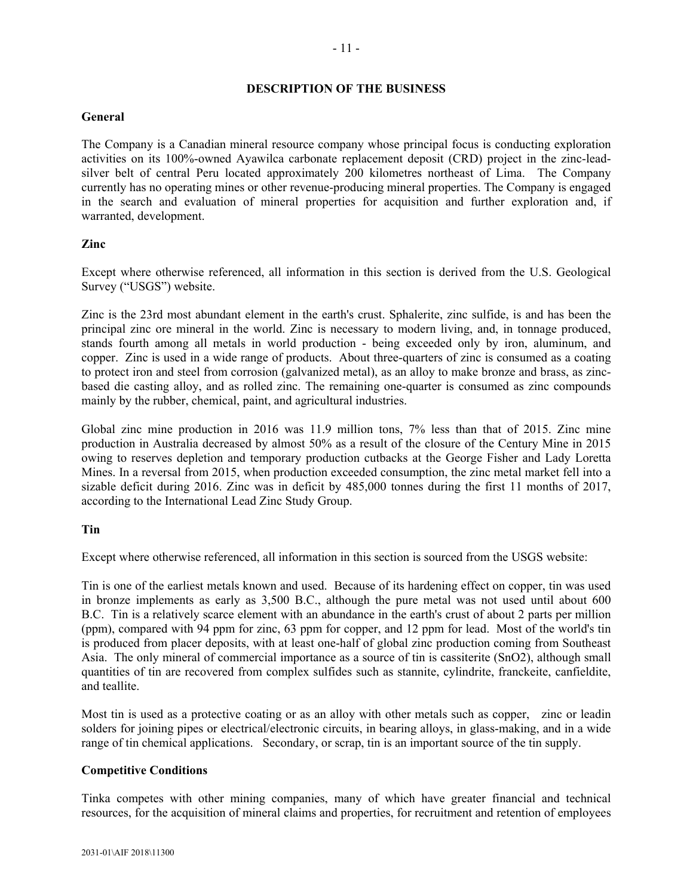### **DESCRIPTION OF THE BUSINESS**

### **General**

The Company is a Canadian mineral resource company whose principal focus is conducting exploration activities on its 100%-owned Ayawilca carbonate replacement deposit (CRD) project in the zinc-leadsilver belt of central Peru located approximately 200 kilometres northeast of Lima. The Company currently has no operating mines or other revenue-producing mineral properties. The Company is engaged in the search and evaluation of mineral properties for acquisition and further exploration and, if warranted, development.

### **Zinc**

Except where otherwise referenced, all information in this section is derived from the U.S. Geological Survey ("USGS") website.

Zinc is the 23rd most abundant element in the earth's crust. Sphalerite, zinc sulfide, is and has been the principal zinc ore mineral in the world. Zinc is necessary to modern living, and, in tonnage produced, stands fourth among all metals in world production - being exceeded only by iron, aluminum, and copper. Zinc is used in a wide range of products. About three-quarters of zinc is consumed as a coating to protect iron and steel from corrosion (galvanized metal), as an alloy to make bronze and brass, as zincbased die casting alloy, and as rolled zinc. The remaining one-quarter is consumed as zinc compounds mainly by the rubber, chemical, paint, and agricultural industries.

Global zinc mine production in 2016 was 11.9 million tons, 7% less than that of 2015. Zinc mine production in Australia decreased by almost 50% as a result of the closure of the Century Mine in 2015 owing to reserves depletion and temporary production cutbacks at the George Fisher and Lady Loretta Mines. In a reversal from 2015, when production exceeded consumption, the zinc metal market fell into a sizable deficit during 2016. Zinc was in deficit by 485,000 tonnes during the first 11 months of 2017, according to the International Lead Zinc Study Group.

### **Tin**

Except where otherwise referenced, all information in this section is sourced from the USGS website:

Tin is one of the earliest metals known and used. Because of its hardening effect on copper, tin was used in bronze implements as early as 3,500 B.C., although the pure metal was not used until about 600 B.C. Tin is a relatively scarce element with an abundance in the earth's crust of about 2 parts per million (ppm), compared with 94 ppm for zinc, 63 ppm for copper, and 12 ppm for lead. Most of the world's tin is produced from placer deposits, with at least one-half of global zinc production coming from Southeast Asia. The only mineral of commercial importance as a source of tin is cassiterite (SnO2), although small quantities of tin are recovered from complex sulfides such as stannite, cylindrite, franckeite, canfieldite, and teallite.

Most tin is used as a protective coating or as an alloy with other metals such as copper, zinc or leadin solders for joining pipes or electrical/electronic circuits, in bearing alloys, in glass-making, and in a wide range of tin chemical applications. Secondary, or scrap, tin is an important source of the tin supply.

#### **Competitive Conditions**

Tinka competes with other mining companies, many of which have greater financial and technical resources, for the acquisition of mineral claims and properties, for recruitment and retention of employees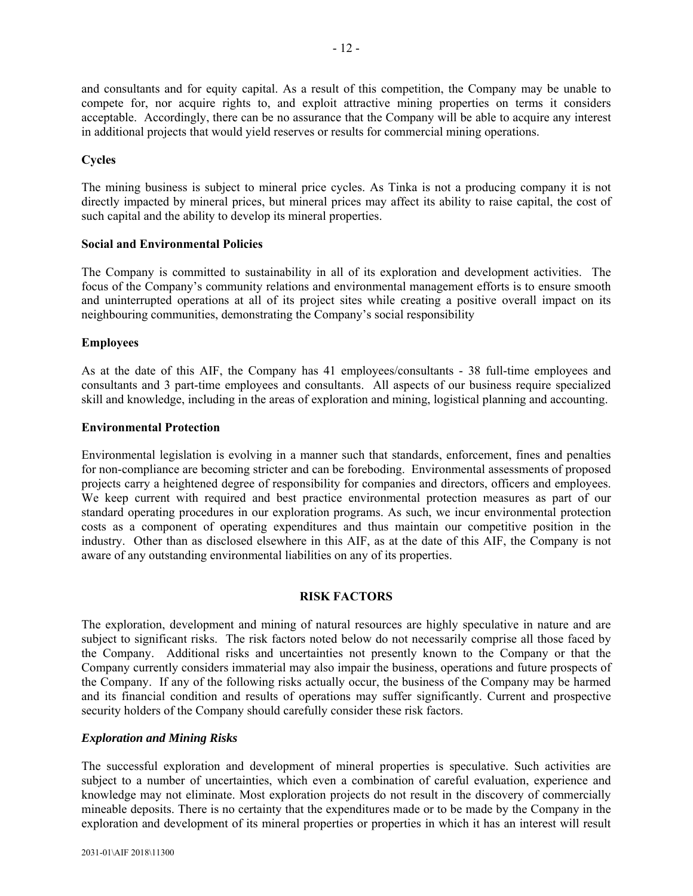and consultants and for equity capital. As a result of this competition, the Company may be unable to compete for, nor acquire rights to, and exploit attractive mining properties on terms it considers acceptable. Accordingly, there can be no assurance that the Company will be able to acquire any interest in additional projects that would yield reserves or results for commercial mining operations.

### **Cycles**

The mining business is subject to mineral price cycles. As Tinka is not a producing company it is not directly impacted by mineral prices, but mineral prices may affect its ability to raise capital, the cost of such capital and the ability to develop its mineral properties.

#### **Social and Environmental Policies**

The Company is committed to sustainability in all of its exploration and development activities. The focus of the Company's community relations and environmental management efforts is to ensure smooth and uninterrupted operations at all of its project sites while creating a positive overall impact on its neighbouring communities, demonstrating the Company's social responsibility

#### **Employees**

As at the date of this AIF, the Company has 41 employees/consultants - 38 full-time employees and consultants and 3 part-time employees and consultants. All aspects of our business require specialized skill and knowledge, including in the areas of exploration and mining, logistical planning and accounting.

#### **Environmental Protection**

Environmental legislation is evolving in a manner such that standards, enforcement, fines and penalties for non-compliance are becoming stricter and can be foreboding. Environmental assessments of proposed projects carry a heightened degree of responsibility for companies and directors, officers and employees. We keep current with required and best practice environmental protection measures as part of our standard operating procedures in our exploration programs. As such, we incur environmental protection costs as a component of operating expenditures and thus maintain our competitive position in the industry. Other than as disclosed elsewhere in this AIF, as at the date of this AIF, the Company is not aware of any outstanding environmental liabilities on any of its properties.

### **RISK FACTORS**

The exploration, development and mining of natural resources are highly speculative in nature and are subject to significant risks. The risk factors noted below do not necessarily comprise all those faced by the Company. Additional risks and uncertainties not presently known to the Company or that the Company currently considers immaterial may also impair the business, operations and future prospects of the Company. If any of the following risks actually occur, the business of the Company may be harmed and its financial condition and results of operations may suffer significantly. Current and prospective security holders of the Company should carefully consider these risk factors.

#### *Exploration and Mining Risks*

The successful exploration and development of mineral properties is speculative. Such activities are subject to a number of uncertainties, which even a combination of careful evaluation, experience and knowledge may not eliminate. Most exploration projects do not result in the discovery of commercially mineable deposits. There is no certainty that the expenditures made or to be made by the Company in the exploration and development of its mineral properties or properties in which it has an interest will result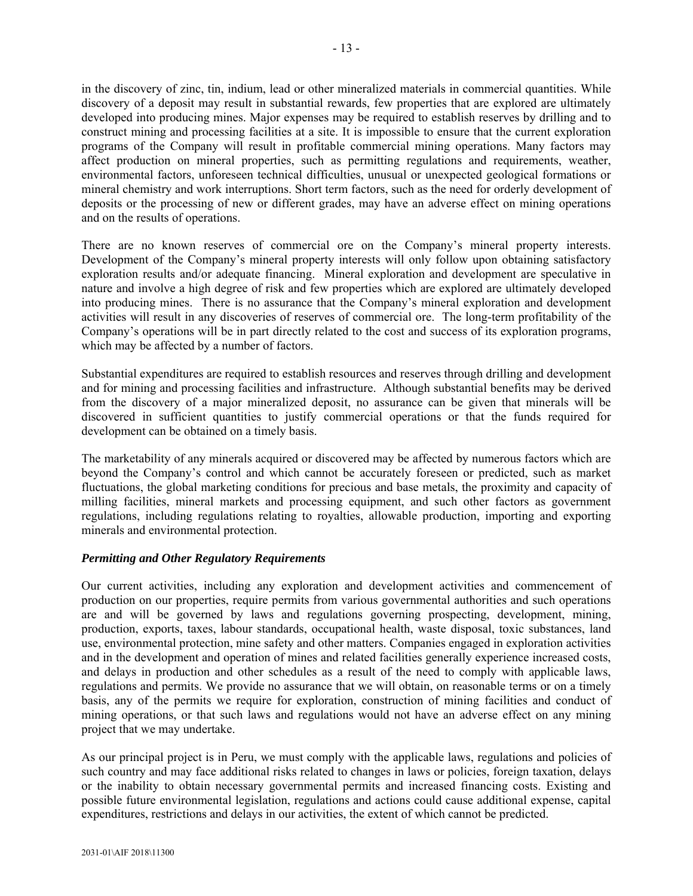in the discovery of zinc, tin, indium, lead or other mineralized materials in commercial quantities. While discovery of a deposit may result in substantial rewards, few properties that are explored are ultimately developed into producing mines. Major expenses may be required to establish reserves by drilling and to construct mining and processing facilities at a site. It is impossible to ensure that the current exploration programs of the Company will result in profitable commercial mining operations. Many factors may affect production on mineral properties, such as permitting regulations and requirements, weather, environmental factors, unforeseen technical difficulties, unusual or unexpected geological formations or mineral chemistry and work interruptions. Short term factors, such as the need for orderly development of deposits or the processing of new or different grades, may have an adverse effect on mining operations and on the results of operations.

There are no known reserves of commercial ore on the Company's mineral property interests. Development of the Company's mineral property interests will only follow upon obtaining satisfactory exploration results and/or adequate financing. Mineral exploration and development are speculative in nature and involve a high degree of risk and few properties which are explored are ultimately developed into producing mines. There is no assurance that the Company's mineral exploration and development activities will result in any discoveries of reserves of commercial ore. The long-term profitability of the Company's operations will be in part directly related to the cost and success of its exploration programs, which may be affected by a number of factors.

Substantial expenditures are required to establish resources and reserves through drilling and development and for mining and processing facilities and infrastructure. Although substantial benefits may be derived from the discovery of a major mineralized deposit, no assurance can be given that minerals will be discovered in sufficient quantities to justify commercial operations or that the funds required for development can be obtained on a timely basis.

The marketability of any minerals acquired or discovered may be affected by numerous factors which are beyond the Company's control and which cannot be accurately foreseen or predicted, such as market fluctuations, the global marketing conditions for precious and base metals, the proximity and capacity of milling facilities, mineral markets and processing equipment, and such other factors as government regulations, including regulations relating to royalties, allowable production, importing and exporting minerals and environmental protection.

### *Permitting and Other Regulatory Requirements*

Our current activities, including any exploration and development activities and commencement of production on our properties, require permits from various governmental authorities and such operations are and will be governed by laws and regulations governing prospecting, development, mining, production, exports, taxes, labour standards, occupational health, waste disposal, toxic substances, land use, environmental protection, mine safety and other matters. Companies engaged in exploration activities and in the development and operation of mines and related facilities generally experience increased costs, and delays in production and other schedules as a result of the need to comply with applicable laws, regulations and permits. We provide no assurance that we will obtain, on reasonable terms or on a timely basis, any of the permits we require for exploration, construction of mining facilities and conduct of mining operations, or that such laws and regulations would not have an adverse effect on any mining project that we may undertake.

As our principal project is in Peru, we must comply with the applicable laws, regulations and policies of such country and may face additional risks related to changes in laws or policies, foreign taxation, delays or the inability to obtain necessary governmental permits and increased financing costs. Existing and possible future environmental legislation, regulations and actions could cause additional expense, capital expenditures, restrictions and delays in our activities, the extent of which cannot be predicted.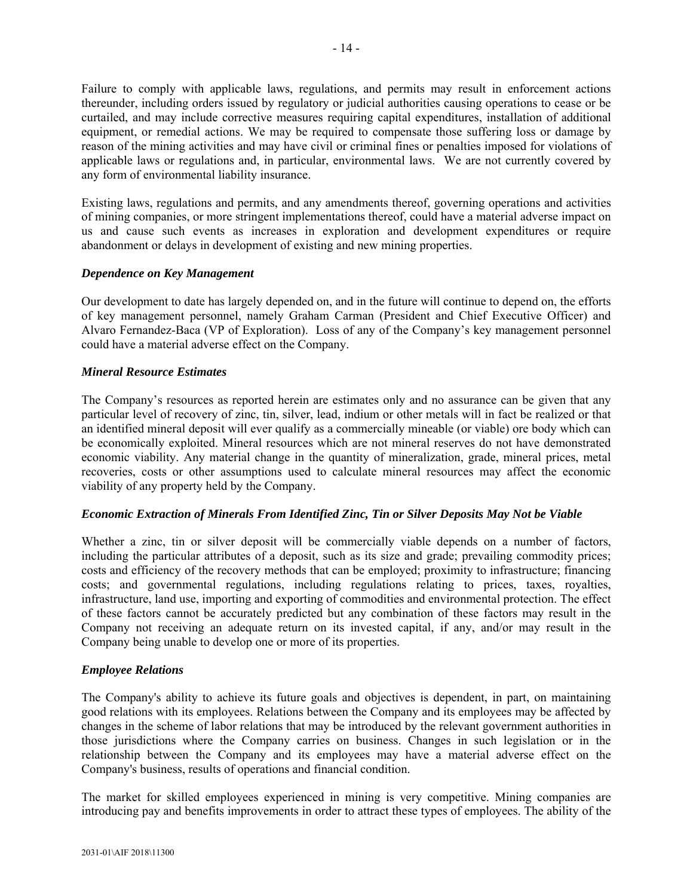Failure to comply with applicable laws, regulations, and permits may result in enforcement actions thereunder, including orders issued by regulatory or judicial authorities causing operations to cease or be curtailed, and may include corrective measures requiring capital expenditures, installation of additional equipment, or remedial actions. We may be required to compensate those suffering loss or damage by reason of the mining activities and may have civil or criminal fines or penalties imposed for violations of applicable laws or regulations and, in particular, environmental laws. We are not currently covered by any form of environmental liability insurance.

Existing laws, regulations and permits, and any amendments thereof, governing operations and activities of mining companies, or more stringent implementations thereof, could have a material adverse impact on us and cause such events as increases in exploration and development expenditures or require abandonment or delays in development of existing and new mining properties.

### *Dependence on Key Management*

Our development to date has largely depended on, and in the future will continue to depend on, the efforts of key management personnel, namely Graham Carman (President and Chief Executive Officer) and Alvaro Fernandez-Baca (VP of Exploration). Loss of any of the Company's key management personnel could have a material adverse effect on the Company.

### *Mineral Resource Estimates*

The Company's resources as reported herein are estimates only and no assurance can be given that any particular level of recovery of zinc, tin, silver, lead, indium or other metals will in fact be realized or that an identified mineral deposit will ever qualify as a commercially mineable (or viable) ore body which can be economically exploited. Mineral resources which are not mineral reserves do not have demonstrated economic viability. Any material change in the quantity of mineralization, grade, mineral prices, metal recoveries, costs or other assumptions used to calculate mineral resources may affect the economic viability of any property held by the Company.

### *Economic Extraction of Minerals From Identified Zinc, Tin or Silver Deposits May Not be Viable*

Whether a zinc, tin or silver deposit will be commercially viable depends on a number of factors, including the particular attributes of a deposit, such as its size and grade; prevailing commodity prices; costs and efficiency of the recovery methods that can be employed; proximity to infrastructure; financing costs; and governmental regulations, including regulations relating to prices, taxes, royalties, infrastructure, land use, importing and exporting of commodities and environmental protection. The effect of these factors cannot be accurately predicted but any combination of these factors may result in the Company not receiving an adequate return on its invested capital, if any, and/or may result in the Company being unable to develop one or more of its properties.

### *Employee Relations*

The Company's ability to achieve its future goals and objectives is dependent, in part, on maintaining good relations with its employees. Relations between the Company and its employees may be affected by changes in the scheme of labor relations that may be introduced by the relevant government authorities in those jurisdictions where the Company carries on business. Changes in such legislation or in the relationship between the Company and its employees may have a material adverse effect on the Company's business, results of operations and financial condition.

The market for skilled employees experienced in mining is very competitive. Mining companies are introducing pay and benefits improvements in order to attract these types of employees. The ability of the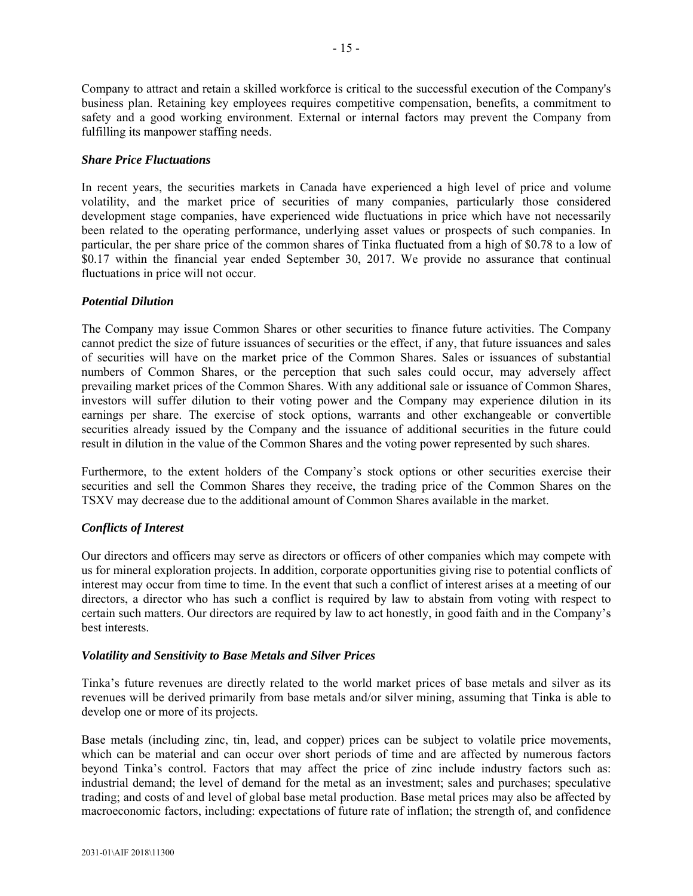Company to attract and retain a skilled workforce is critical to the successful execution of the Company's business plan. Retaining key employees requires competitive compensation, benefits, a commitment to safety and a good working environment. External or internal factors may prevent the Company from fulfilling its manpower staffing needs.

### *Share Price Fluctuations*

In recent years, the securities markets in Canada have experienced a high level of price and volume volatility, and the market price of securities of many companies, particularly those considered development stage companies, have experienced wide fluctuations in price which have not necessarily been related to the operating performance, underlying asset values or prospects of such companies. In particular, the per share price of the common shares of Tinka fluctuated from a high of \$0.78 to a low of \$0.17 within the financial year ended September 30, 2017. We provide no assurance that continual fluctuations in price will not occur.

### *Potential Dilution*

The Company may issue Common Shares or other securities to finance future activities. The Company cannot predict the size of future issuances of securities or the effect, if any, that future issuances and sales of securities will have on the market price of the Common Shares. Sales or issuances of substantial numbers of Common Shares, or the perception that such sales could occur, may adversely affect prevailing market prices of the Common Shares. With any additional sale or issuance of Common Shares, investors will suffer dilution to their voting power and the Company may experience dilution in its earnings per share. The exercise of stock options, warrants and other exchangeable or convertible securities already issued by the Company and the issuance of additional securities in the future could result in dilution in the value of the Common Shares and the voting power represented by such shares.

Furthermore, to the extent holders of the Company's stock options or other securities exercise their securities and sell the Common Shares they receive, the trading price of the Common Shares on the TSXV may decrease due to the additional amount of Common Shares available in the market.

### *Conflicts of Interest*

Our directors and officers may serve as directors or officers of other companies which may compete with us for mineral exploration projects. In addition, corporate opportunities giving rise to potential conflicts of interest may occur from time to time. In the event that such a conflict of interest arises at a meeting of our directors, a director who has such a conflict is required by law to abstain from voting with respect to certain such matters. Our directors are required by law to act honestly, in good faith and in the Company's best interests.

#### *Volatility and Sensitivity to Base Metals and Silver Prices*

Tinka's future revenues are directly related to the world market prices of base metals and silver as its revenues will be derived primarily from base metals and/or silver mining, assuming that Tinka is able to develop one or more of its projects.

Base metals (including zinc, tin, lead, and copper) prices can be subject to volatile price movements, which can be material and can occur over short periods of time and are affected by numerous factors beyond Tinka's control. Factors that may affect the price of zinc include industry factors such as: industrial demand; the level of demand for the metal as an investment; sales and purchases; speculative trading; and costs of and level of global base metal production. Base metal prices may also be affected by macroeconomic factors, including: expectations of future rate of inflation; the strength of, and confidence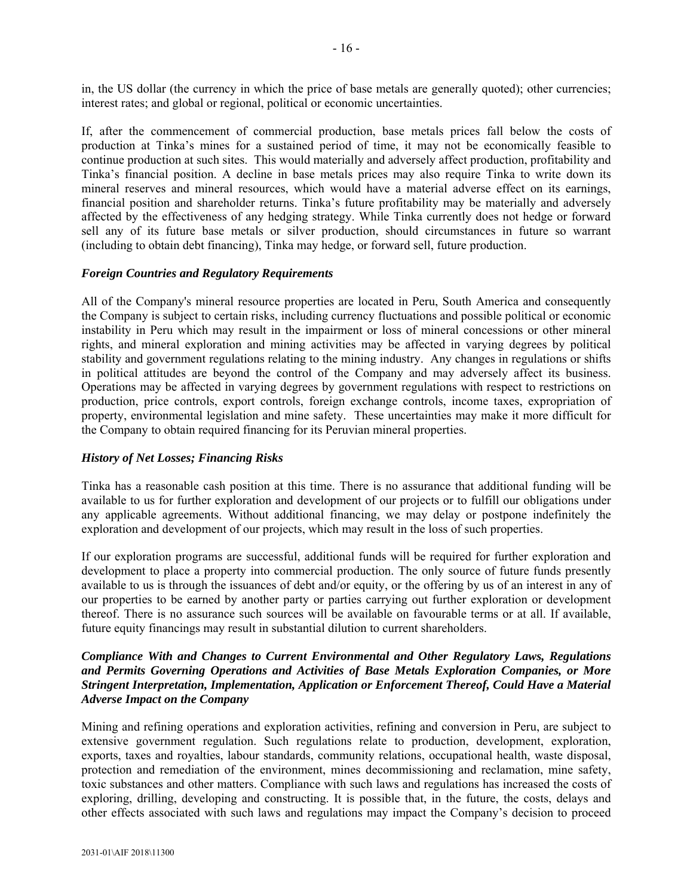in, the US dollar (the currency in which the price of base metals are generally quoted); other currencies; interest rates; and global or regional, political or economic uncertainties.

If, after the commencement of commercial production, base metals prices fall below the costs of production at Tinka's mines for a sustained period of time, it may not be economically feasible to continue production at such sites. This would materially and adversely affect production, profitability and Tinka's financial position. A decline in base metals prices may also require Tinka to write down its mineral reserves and mineral resources, which would have a material adverse effect on its earnings, financial position and shareholder returns. Tinka's future profitability may be materially and adversely affected by the effectiveness of any hedging strategy. While Tinka currently does not hedge or forward sell any of its future base metals or silver production, should circumstances in future so warrant (including to obtain debt financing), Tinka may hedge, or forward sell, future production.

### *Foreign Countries and Regulatory Requirements*

All of the Company's mineral resource properties are located in Peru, South America and consequently the Company is subject to certain risks, including currency fluctuations and possible political or economic instability in Peru which may result in the impairment or loss of mineral concessions or other mineral rights, and mineral exploration and mining activities may be affected in varying degrees by political stability and government regulations relating to the mining industry. Any changes in regulations or shifts in political attitudes are beyond the control of the Company and may adversely affect its business. Operations may be affected in varying degrees by government regulations with respect to restrictions on production, price controls, export controls, foreign exchange controls, income taxes, expropriation of property, environmental legislation and mine safety. These uncertainties may make it more difficult for the Company to obtain required financing for its Peruvian mineral properties.

### *History of Net Losses; Financing Risks*

Tinka has a reasonable cash position at this time. There is no assurance that additional funding will be available to us for further exploration and development of our projects or to fulfill our obligations under any applicable agreements. Without additional financing, we may delay or postpone indefinitely the exploration and development of our projects, which may result in the loss of such properties.

If our exploration programs are successful, additional funds will be required for further exploration and development to place a property into commercial production. The only source of future funds presently available to us is through the issuances of debt and/or equity, or the offering by us of an interest in any of our properties to be earned by another party or parties carrying out further exploration or development thereof. There is no assurance such sources will be available on favourable terms or at all. If available, future equity financings may result in substantial dilution to current shareholders.

### *Compliance With and Changes to Current Environmental and Other Regulatory Laws, Regulations and Permits Governing Operations and Activities of Base Metals Exploration Companies, or More Stringent Interpretation, Implementation, Application or Enforcement Thereof, Could Have a Material Adverse Impact on the Company*

Mining and refining operations and exploration activities, refining and conversion in Peru, are subject to extensive government regulation. Such regulations relate to production, development, exploration, exports, taxes and royalties, labour standards, community relations, occupational health, waste disposal, protection and remediation of the environment, mines decommissioning and reclamation, mine safety, toxic substances and other matters. Compliance with such laws and regulations has increased the costs of exploring, drilling, developing and constructing. It is possible that, in the future, the costs, delays and other effects associated with such laws and regulations may impact the Company's decision to proceed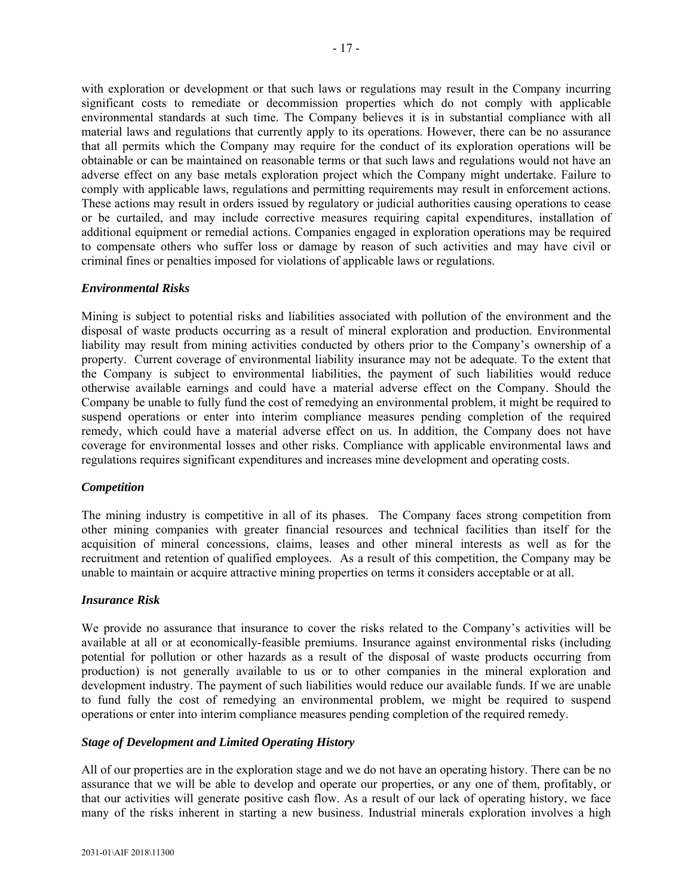with exploration or development or that such laws or regulations may result in the Company incurring significant costs to remediate or decommission properties which do not comply with applicable environmental standards at such time. The Company believes it is in substantial compliance with all material laws and regulations that currently apply to its operations. However, there can be no assurance that all permits which the Company may require for the conduct of its exploration operations will be obtainable or can be maintained on reasonable terms or that such laws and regulations would not have an adverse effect on any base metals exploration project which the Company might undertake. Failure to comply with applicable laws, regulations and permitting requirements may result in enforcement actions. These actions may result in orders issued by regulatory or judicial authorities causing operations to cease or be curtailed, and may include corrective measures requiring capital expenditures, installation of additional equipment or remedial actions. Companies engaged in exploration operations may be required to compensate others who suffer loss or damage by reason of such activities and may have civil or criminal fines or penalties imposed for violations of applicable laws or regulations.

### *Environmental Risks*

Mining is subject to potential risks and liabilities associated with pollution of the environment and the disposal of waste products occurring as a result of mineral exploration and production. Environmental liability may result from mining activities conducted by others prior to the Company's ownership of a property. Current coverage of environmental liability insurance may not be adequate. To the extent that the Company is subject to environmental liabilities, the payment of such liabilities would reduce otherwise available earnings and could have a material adverse effect on the Company. Should the Company be unable to fully fund the cost of remedying an environmental problem, it might be required to suspend operations or enter into interim compliance measures pending completion of the required remedy, which could have a material adverse effect on us. In addition, the Company does not have coverage for environmental losses and other risks. Compliance with applicable environmental laws and regulations requires significant expenditures and increases mine development and operating costs.

#### *Competition*

The mining industry is competitive in all of its phases. The Company faces strong competition from other mining companies with greater financial resources and technical facilities than itself for the acquisition of mineral concessions, claims, leases and other mineral interests as well as for the recruitment and retention of qualified employees.As a result of this competition, the Company may be unable to maintain or acquire attractive mining properties on terms it considers acceptable or at all.

#### *Insurance Risk*

We provide no assurance that insurance to cover the risks related to the Company's activities will be available at all or at economically-feasible premiums. Insurance against environmental risks (including potential for pollution or other hazards as a result of the disposal of waste products occurring from production) is not generally available to us or to other companies in the mineral exploration and development industry. The payment of such liabilities would reduce our available funds. If we are unable to fund fully the cost of remedying an environmental problem, we might be required to suspend operations or enter into interim compliance measures pending completion of the required remedy.

#### *Stage of Development and Limited Operating History*

All of our properties are in the exploration stage and we do not have an operating history. There can be no assurance that we will be able to develop and operate our properties, or any one of them, profitably, or that our activities will generate positive cash flow. As a result of our lack of operating history, we face many of the risks inherent in starting a new business. Industrial minerals exploration involves a high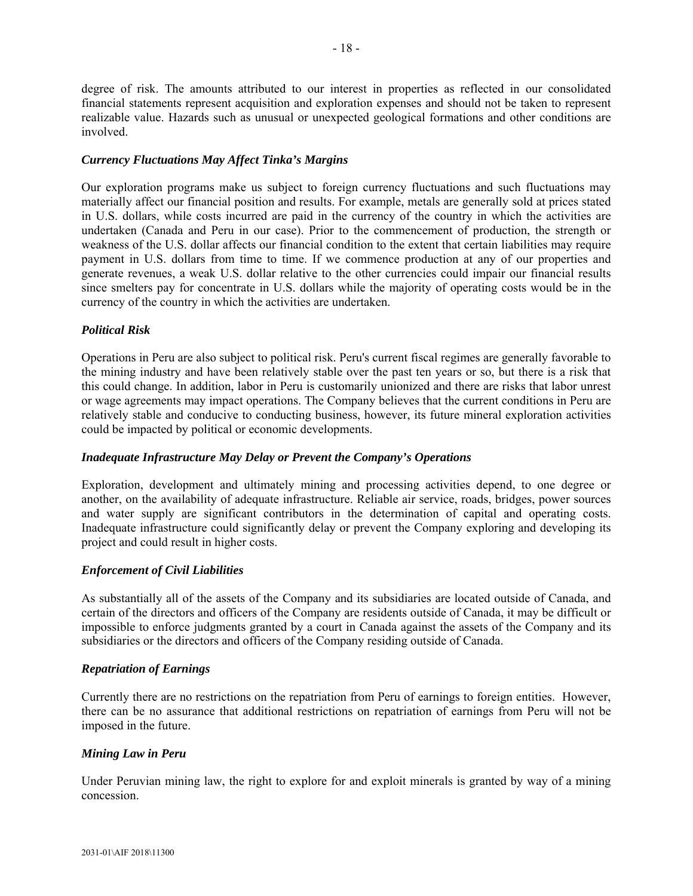degree of risk. The amounts attributed to our interest in properties as reflected in our consolidated financial statements represent acquisition and exploration expenses and should not be taken to represent realizable value. Hazards such as unusual or unexpected geological formations and other conditions are involved.

### *Currency Fluctuations May Affect Tinka's Margins*

Our exploration programs make us subject to foreign currency fluctuations and such fluctuations may materially affect our financial position and results. For example, metals are generally sold at prices stated in U.S. dollars, while costs incurred are paid in the currency of the country in which the activities are undertaken (Canada and Peru in our case). Prior to the commencement of production, the strength or weakness of the U.S. dollar affects our financial condition to the extent that certain liabilities may require payment in U.S. dollars from time to time. If we commence production at any of our properties and generate revenues, a weak U.S. dollar relative to the other currencies could impair our financial results since smelters pay for concentrate in U.S. dollars while the majority of operating costs would be in the currency of the country in which the activities are undertaken.

### *Political Risk*

Operations in Peru are also subject to political risk. Peru's current fiscal regimes are generally favorable to the mining industry and have been relatively stable over the past ten years or so, but there is a risk that this could change. In addition, labor in Peru is customarily unionized and there are risks that labor unrest or wage agreements may impact operations. The Company believes that the current conditions in Peru are relatively stable and conducive to conducting business, however, its future mineral exploration activities could be impacted by political or economic developments.

### *Inadequate Infrastructure May Delay or Prevent the Company's Operations*

Exploration, development and ultimately mining and processing activities depend, to one degree or another, on the availability of adequate infrastructure. Reliable air service, roads, bridges, power sources and water supply are significant contributors in the determination of capital and operating costs. Inadequate infrastructure could significantly delay or prevent the Company exploring and developing its project and could result in higher costs.

### *Enforcement of Civil Liabilities*

As substantially all of the assets of the Company and its subsidiaries are located outside of Canada, and certain of the directors and officers of the Company are residents outside of Canada, it may be difficult or impossible to enforce judgments granted by a court in Canada against the assets of the Company and its subsidiaries or the directors and officers of the Company residing outside of Canada.

### *Repatriation of Earnings*

Currently there are no restrictions on the repatriation from Peru of earnings to foreign entities. However, there can be no assurance that additional restrictions on repatriation of earnings from Peru will not be imposed in the future.

#### *Mining Law in Peru*

Under Peruvian mining law, the right to explore for and exploit minerals is granted by way of a mining concession.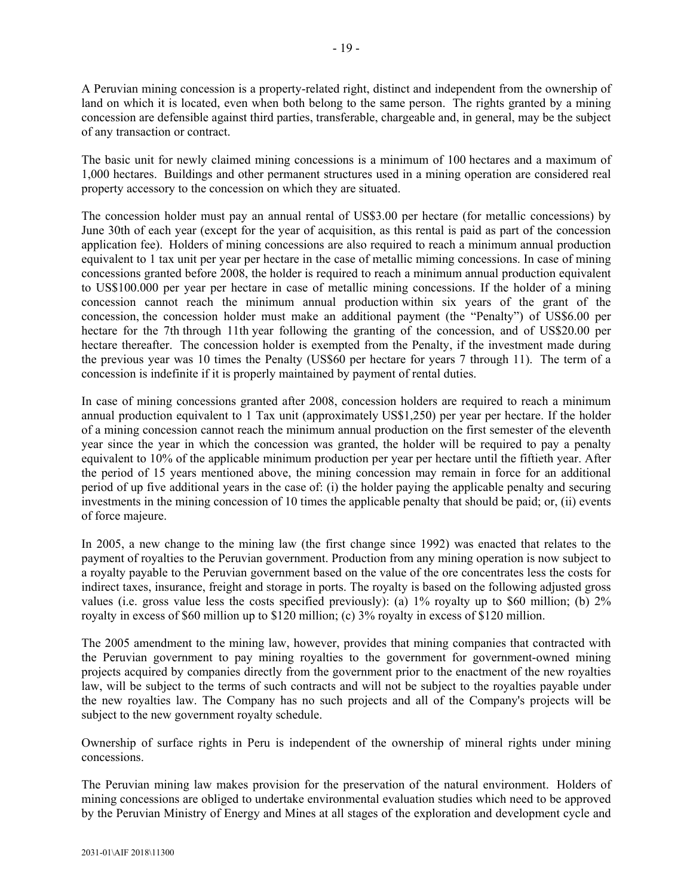A Peruvian mining concession is a property-related right, distinct and independent from the ownership of land on which it is located, even when both belong to the same person. The rights granted by a mining concession are defensible against third parties, transferable, chargeable and, in general, may be the subject of any transaction or contract.

The basic unit for newly claimed mining concessions is a minimum of 100 hectares and a maximum of 1,000 hectares. Buildings and other permanent structures used in a mining operation are considered real property accessory to the concession on which they are situated.

The concession holder must pay an annual rental of US\$3.00 per hectare (for metallic concessions) by June 30th of each year (except for the year of acquisition, as this rental is paid as part of the concession application fee). Holders of mining concessions are also required to reach a minimum annual production equivalent to 1 tax unit per year per hectare in the case of metallic miming concessions. In case of mining concessions granted before 2008, the holder is required to reach a minimum annual production equivalent to US\$100.000 per year per hectare in case of metallic mining concessions. If the holder of a mining concession cannot reach the minimum annual production within six years of the grant of the concession, the concession holder must make an additional payment (the "Penalty") of US\$6.00 per hectare for the 7th through 11th year following the granting of the concession, and of US\$20.00 per hectare thereafter. The concession holder is exempted from the Penalty, if the investment made during the previous year was 10 times the Penalty (US\$60 per hectare for years 7 through 11). The term of a concession is indefinite if it is properly maintained by payment of rental duties.

In case of mining concessions granted after 2008, concession holders are required to reach a minimum annual production equivalent to 1 Tax unit (approximately US\$1,250) per year per hectare. If the holder of a mining concession cannot reach the minimum annual production on the first semester of the eleventh year since the year in which the concession was granted, the holder will be required to pay a penalty equivalent to 10% of the applicable minimum production per year per hectare until the fiftieth year. After the period of 15 years mentioned above, the mining concession may remain in force for an additional period of up five additional years in the case of: (i) the holder paying the applicable penalty and securing investments in the mining concession of 10 times the applicable penalty that should be paid; or, (ii) events of force majeure.

In 2005, a new change to the mining law (the first change since 1992) was enacted that relates to the payment of royalties to the Peruvian government. Production from any mining operation is now subject to a royalty payable to the Peruvian government based on the value of the ore concentrates less the costs for indirect taxes, insurance, freight and storage in ports. The royalty is based on the following adjusted gross values (i.e. gross value less the costs specified previously): (a) 1% royalty up to \$60 million; (b) 2% royalty in excess of \$60 million up to \$120 million; (c) 3% royalty in excess of \$120 million.

The 2005 amendment to the mining law, however, provides that mining companies that contracted with the Peruvian government to pay mining royalties to the government for government-owned mining projects acquired by companies directly from the government prior to the enactment of the new royalties law, will be subject to the terms of such contracts and will not be subject to the royalties payable under the new royalties law. The Company has no such projects and all of the Company's projects will be subject to the new government royalty schedule.

Ownership of surface rights in Peru is independent of the ownership of mineral rights under mining concessions.

The Peruvian mining law makes provision for the preservation of the natural environment. Holders of mining concessions are obliged to undertake environmental evaluation studies which need to be approved by the Peruvian Ministry of Energy and Mines at all stages of the exploration and development cycle and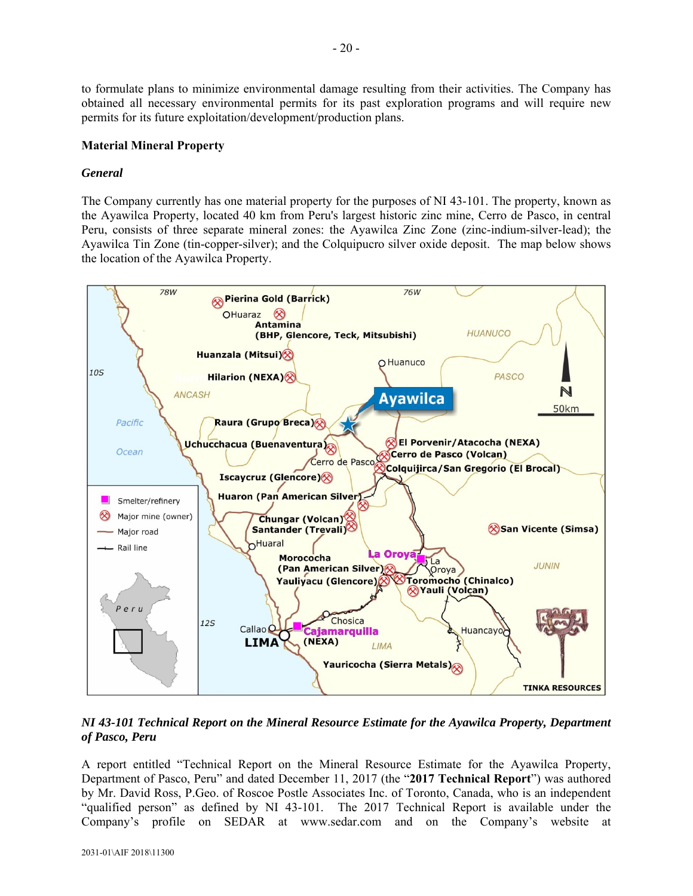to formulate plans to minimize environmental damage resulting from their activities. The Company has obtained all necessary environmental permits for its past exploration programs and will require new permits for its future exploitation/development/production plans.

### **Material Mineral Property**

### *General*

The Company currently has one material property for the purposes of NI 43-101. The property, known as the Ayawilca Property, located 40 km from Peru's largest historic zinc mine, Cerro de Pasco, in central Peru, consists of three separate mineral zones: the Ayawilca Zinc Zone (zinc-indium-silver-lead); the Ayawilca Tin Zone (tin-copper-silver); and the Colquipucro silver oxide deposit. The map below shows the location of the Ayawilca Property.



*NI 43-101 Technical Report on the Mineral Resource Estimate for the Ayawilca Property, Department of Pasco, Peru* 

A report entitled "Technical Report on the Mineral Resource Estimate for the Ayawilca Property, Department of Pasco, Peru" and dated December 11, 2017 (the "**2017 Technical Report**") was authored by Mr. David Ross, P.Geo. of Roscoe Postle Associates Inc. of Toronto, Canada, who is an independent "qualified person" as defined by NI 43-101. The 2017 Technical Report is available under the Company's profile on SEDAR at www.sedar.com and on the Company's website at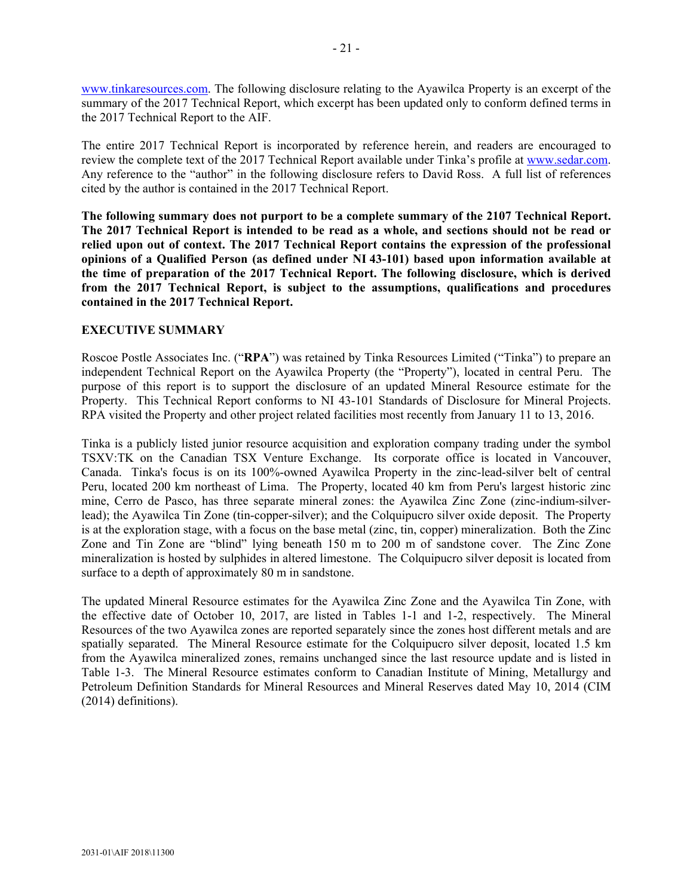www.tinkaresources.com. The following disclosure relating to the Ayawilca Property is an excerpt of the summary of the 2017 Technical Report, which excerpt has been updated only to conform defined terms in the 2017 Technical Report to the AIF.

The entire 2017 Technical Report is incorporated by reference herein, and readers are encouraged to review the complete text of the 2017 Technical Report available under Tinka's profile at www.sedar.com. Any reference to the "author" in the following disclosure refers to David Ross. A full list of references cited by the author is contained in the 2017 Technical Report.

**The following summary does not purport to be a complete summary of the 2107 Technical Report. The 2017 Technical Report is intended to be read as a whole, and sections should not be read or relied upon out of context. The 2017 Technical Report contains the expression of the professional opinions of a Qualified Person (as defined under NI 43-101) based upon information available at the time of preparation of the 2017 Technical Report. The following disclosure, which is derived from the 2017 Technical Report, is subject to the assumptions, qualifications and procedures contained in the 2017 Technical Report.** 

### **EXECUTIVE SUMMARY**

Roscoe Postle Associates Inc. ("**RPA**") was retained by Tinka Resources Limited ("Tinka") to prepare an independent Technical Report on the Ayawilca Property (the "Property"), located in central Peru. The purpose of this report is to support the disclosure of an updated Mineral Resource estimate for the Property. This Technical Report conforms to NI 43-101 Standards of Disclosure for Mineral Projects. RPA visited the Property and other project related facilities most recently from January 11 to 13, 2016.

Tinka is a publicly listed junior resource acquisition and exploration company trading under the symbol TSXV:TK on the Canadian TSX Venture Exchange. Its corporate office is located in Vancouver, Canada. Tinka's focus is on its 100%-owned Ayawilca Property in the zinc-lead-silver belt of central Peru, located 200 km northeast of Lima. The Property, located 40 km from Peru's largest historic zinc mine, Cerro de Pasco, has three separate mineral zones: the Ayawilca Zinc Zone (zinc-indium-silverlead); the Ayawilca Tin Zone (tin-copper-silver); and the Colquipucro silver oxide deposit. The Property is at the exploration stage, with a focus on the base metal (zinc, tin, copper) mineralization. Both the Zinc Zone and Tin Zone are "blind" lying beneath 150 m to 200 m of sandstone cover. The Zinc Zone mineralization is hosted by sulphides in altered limestone. The Colquipucro silver deposit is located from surface to a depth of approximately 80 m in sandstone.

The updated Mineral Resource estimates for the Ayawilca Zinc Zone and the Ayawilca Tin Zone, with the effective date of October 10, 2017, are listed in Tables 1-1 and 1-2, respectively. The Mineral Resources of the two Ayawilca zones are reported separately since the zones host different metals and are spatially separated. The Mineral Resource estimate for the Colquipucro silver deposit, located 1.5 km from the Ayawilca mineralized zones, remains unchanged since the last resource update and is listed in Table 1-3. The Mineral Resource estimates conform to Canadian Institute of Mining, Metallurgy and Petroleum Definition Standards for Mineral Resources and Mineral Reserves dated May 10, 2014 (CIM (2014) definitions).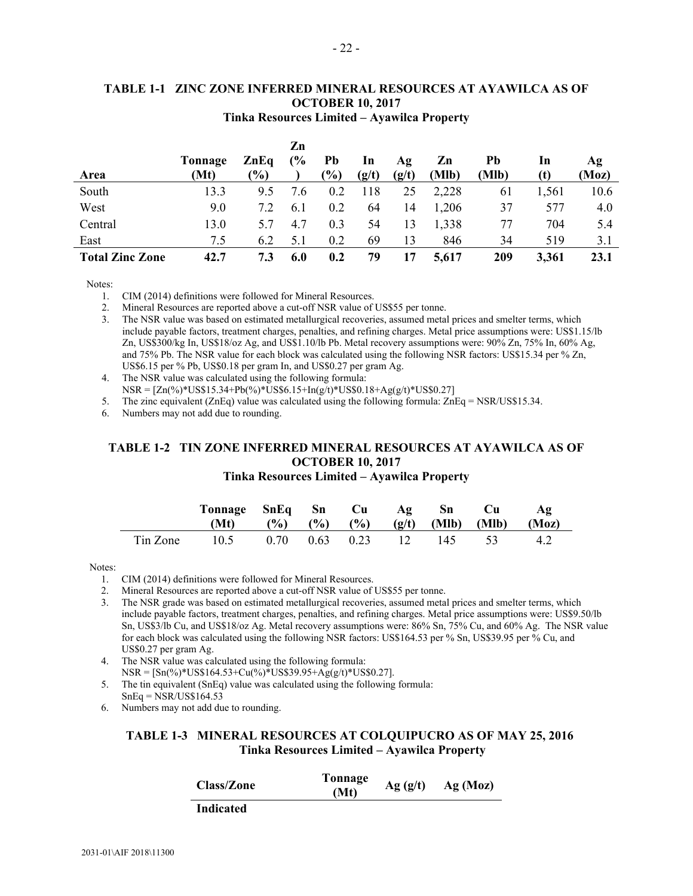|                        | $\mathbf{r}$ , where $\mathbf{r}$ is $\mathbf{r}$ |                 |               |           |       |       |       |       |       |       |
|------------------------|---------------------------------------------------|-----------------|---------------|-----------|-------|-------|-------|-------|-------|-------|
|                        |                                                   |                 | Zn            |           |       |       |       |       |       |       |
|                        | Tonnage                                           | $\mathbf{ZnEq}$ | $\frac{6}{6}$ | <b>Pb</b> | In    | Ag    | Zn    | Pb    | In    | Ag    |
| Area                   | (Mt)                                              | $\frac{1}{2}$   |               | $(\%)$    | (g/t) | (g/t) | (Mlb) | (Mlb) | (t)   | (Moz) |
| South                  | 13.3                                              | 9.5             | 7.6           | 0.2       | 118   | 25    | 2,228 | 61    | 1,561 | 10.6  |
| West                   | 9.0                                               | 7.2             | 6.1           | 0.2       | 64    | 14    | 1,206 | 37    | 577   | 4.0   |
| Central                | 13.0                                              | 5.7             | 4.7           | 0.3       | 54    | 13    | 1,338 | 77    | 704   | 5.4   |
| East                   | 7.5                                               | 6.2             | 5.1           | 0.2       | 69    | 13    | 846   | 34    | 519   | 3.1   |
| <b>Total Zinc Zone</b> | 42.7                                              | 7.3             | 6.0           | 0.2       | 79    | 17    | 5,617 | 209   | 3,361 | 23.1  |

#### **TABLE 1-1 ZINC ZONE INFERRED MINERAL RESOURCES AT AYAWILCA AS OF OCTOBER 10, 2017 Tinka Resources Limited – Ayawilca Property**

Notes:

1. CIM (2014) definitions were followed for Mineral Resources.

2. Mineral Resources are reported above a cut-off NSR value of US\$55 per tonne.

3. The NSR value was based on estimated metallurgical recoveries, assumed metal prices and smelter terms, which include payable factors, treatment charges, penalties, and refining charges. Metal price assumptions were: US\$1.15/lb Zn, US\$300/kg In, US\$18/oz Ag, and US\$1.10/lb Pb. Metal recovery assumptions were: 90% Zn, 75% In, 60% Ag, and 75% Pb. The NSR value for each block was calculated using the following NSR factors: US\$15.34 per % Zn, US\$6.15 per % Pb, US\$0.18 per gram In, and US\$0.27 per gram Ag.

- 4. The NSR value was calculated using the following formula:
- $NSR = [Zn(\%)^*US$15.34+Pb(\%)^*US$6.15+In(g/t)*US$0.18+A g(g/t)*US$0.27]$

5. The zinc equivalent (ZnEq) value was calculated using the following formula: ZnEq = NSR/US\$15.34.

6. Numbers may not add due to rounding.

#### **TABLE 1-2 TIN ZONE INFERRED MINERAL RESOURCES AT AYAWILCA AS OF OCTOBER 10, 2017 Tinka Resources Limited – Ayawilca Property**

|          | Tonnage SnEq Sn Cu Ag Sn |                                 |  |  | – Cu                                                        | AΩ  |
|----------|--------------------------|---------------------------------|--|--|-------------------------------------------------------------|-----|
|          | (Mt)                     |                                 |  |  | $(\%)$ $(\%)$ $(\%)$ $(\%)$ $(g/t)$ $(Mlb)$ $(Mlb)$ $(Moz)$ |     |
| Tin Zone | 10.5                     | $0.70$ $0.63$ $0.23$ $12$ $145$ |  |  | $\sim$ 53                                                   | 4.2 |

Notes:

1. CIM (2014) definitions were followed for Mineral Resources.

2. Mineral Resources are reported above a cut-off NSR value of US\$55 per tonne.

3. The NSR grade was based on estimated metallurgical recoveries, assumed metal prices and smelter terms, which include payable factors, treatment charges, penalties, and refining charges. Metal price assumptions were: US\$9.50/lb Sn, US\$3/lb Cu, and US\$18/oz Ag. Metal recovery assumptions were: 86% Sn, 75% Cu, and 60% Ag. The NSR value for each block was calculated using the following NSR factors: US\$164.53 per % Sn, US\$39.95 per % Cu, and US\$0.27 per gram Ag.

- 4. The NSR value was calculated using the following formula:  $NSR = [Sn(\%)*US$164.53 + Cu(\%)*US$39.95 + Ag(g/t)*US$0.27].$
- 5. The tin equivalent (SnEq) value was calculated using the following formula:  $SnEq = NSR/US$164.53$
- 6. Numbers may not add due to rounding.

### **TABLE 1-3 MINERAL RESOURCES AT COLQUIPUCRO AS OF MAY 25, 2016 Tinka Resources Limited – Ayawilca Property**

| <b>Class/Zone</b> | Tonnage<br>(Mt) | Ag(g/t) | Ag(Moz) |
|-------------------|-----------------|---------|---------|
| Indicated         |                 |         |         |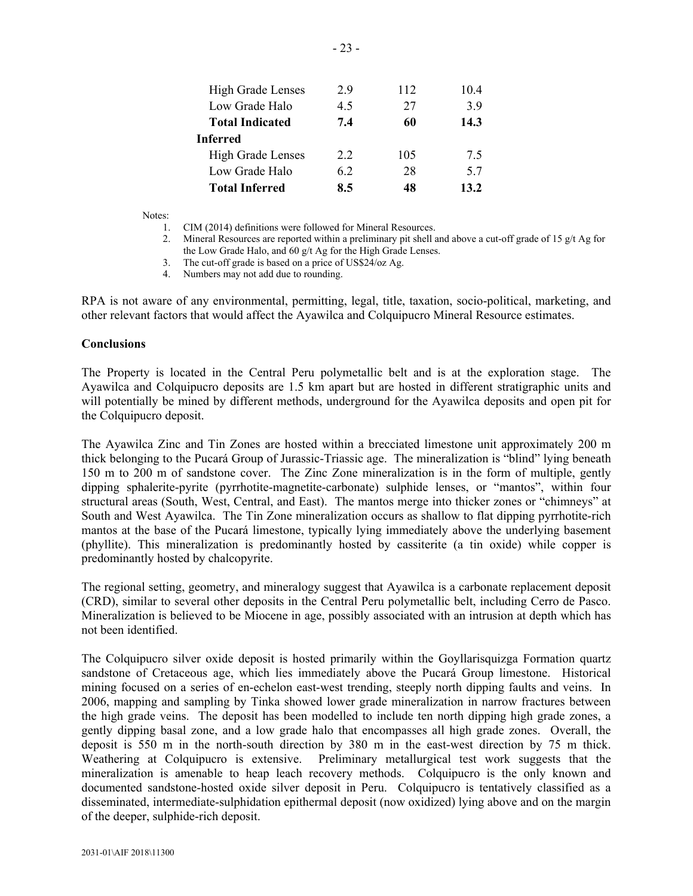| <b>High Grade Lenses</b> | 29  | 112 | 104  |
|--------------------------|-----|-----|------|
| Low Grade Halo           | 4.5 | 27  | 39   |
| <b>Total Indicated</b>   | 7.4 | 60  | 14.3 |
| <b>Inferred</b>          |     |     |      |
| <b>High Grade Lenses</b> | 22  | 105 | 75   |
| Low Grade Halo           | 62  | 28  | 57   |
| <b>Total Inferred</b>    | 8.5 | 48  | 13.2 |

Notes:

- 1. CIM (2014) definitions were followed for Mineral Resources.
- 2. Mineral Resources are reported within a preliminary pit shell and above a cut-off grade of 15 g/t Ag for the Low Grade Halo, and 60 g/t Ag for the High Grade Lenses.
- 3. The cut-off grade is based on a price of US\$24/oz Ag.
- 4. Numbers may not add due to rounding.

RPA is not aware of any environmental, permitting, legal, title, taxation, socio-political, marketing, and other relevant factors that would affect the Ayawilca and Colquipucro Mineral Resource estimates.

#### **Conclusions**

The Property is located in the Central Peru polymetallic belt and is at the exploration stage. The Ayawilca and Colquipucro deposits are 1.5 km apart but are hosted in different stratigraphic units and will potentially be mined by different methods, underground for the Ayawilca deposits and open pit for the Colquipucro deposit.

The Ayawilca Zinc and Tin Zones are hosted within a brecciated limestone unit approximately 200 m thick belonging to the Pucará Group of Jurassic-Triassic age. The mineralization is "blind" lying beneath 150 m to 200 m of sandstone cover. The Zinc Zone mineralization is in the form of multiple, gently dipping sphalerite-pyrite (pyrrhotite-magnetite-carbonate) sulphide lenses, or "mantos", within four structural areas (South, West, Central, and East). The mantos merge into thicker zones or "chimneys" at South and West Ayawilca. The Tin Zone mineralization occurs as shallow to flat dipping pyrrhotite-rich mantos at the base of the Pucará limestone, typically lying immediately above the underlying basement (phyllite). This mineralization is predominantly hosted by cassiterite (a tin oxide) while copper is predominantly hosted by chalcopyrite.

The regional setting, geometry, and mineralogy suggest that Ayawilca is a carbonate replacement deposit (CRD), similar to several other deposits in the Central Peru polymetallic belt, including Cerro de Pasco. Mineralization is believed to be Miocene in age, possibly associated with an intrusion at depth which has not been identified.

The Colquipucro silver oxide deposit is hosted primarily within the Goyllarisquizga Formation quartz sandstone of Cretaceous age, which lies immediately above the Pucará Group limestone. Historical mining focused on a series of en-echelon east-west trending, steeply north dipping faults and veins. In 2006, mapping and sampling by Tinka showed lower grade mineralization in narrow fractures between the high grade veins. The deposit has been modelled to include ten north dipping high grade zones, a gently dipping basal zone, and a low grade halo that encompasses all high grade zones. Overall, the deposit is 550 m in the north-south direction by 380 m in the east-west direction by 75 m thick. Weathering at Colquipucro is extensive. Preliminary metallurgical test work suggests that the mineralization is amenable to heap leach recovery methods. Colquipucro is the only known and documented sandstone-hosted oxide silver deposit in Peru. Colquipucro is tentatively classified as a disseminated, intermediate-sulphidation epithermal deposit (now oxidized) lying above and on the margin of the deeper, sulphide-rich deposit.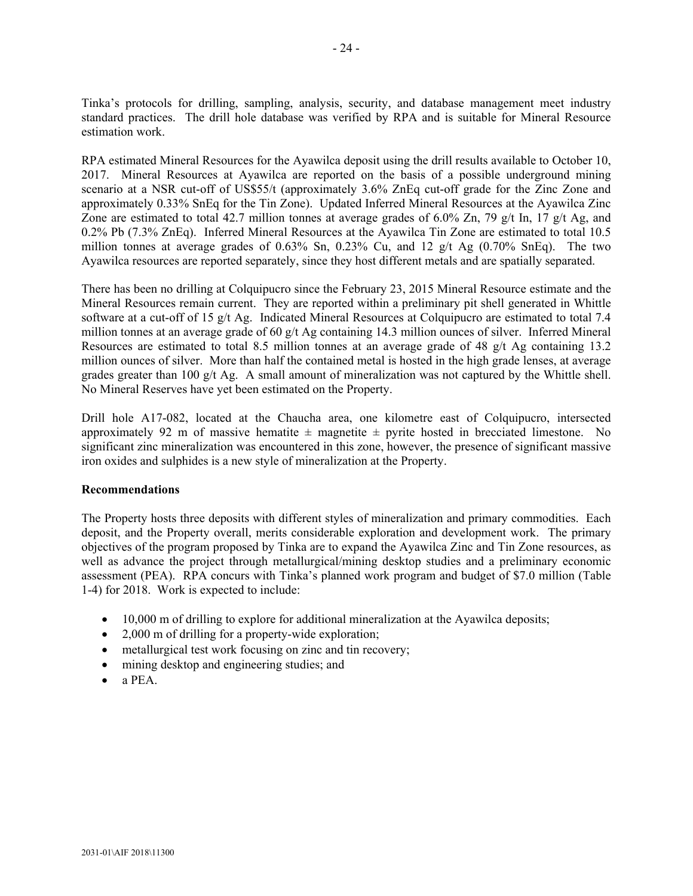Tinka's protocols for drilling, sampling, analysis, security, and database management meet industry standard practices. The drill hole database was verified by RPA and is suitable for Mineral Resource estimation work.

RPA estimated Mineral Resources for the Ayawilca deposit using the drill results available to October 10, 2017. Mineral Resources at Ayawilca are reported on the basis of a possible underground mining scenario at a NSR cut-off of US\$55/t (approximately 3.6% ZnEq cut-off grade for the Zinc Zone and approximately 0.33% SnEq for the Tin Zone). Updated Inferred Mineral Resources at the Ayawilca Zinc Zone are estimated to total 42.7 million tonnes at average grades of 6.0% Zn, 79 g/t In, 17 g/t Ag, and 0.2% Pb (7.3% ZnEq). Inferred Mineral Resources at the Ayawilca Tin Zone are estimated to total 10.5 million tonnes at average grades of 0.63% Sn, 0.23% Cu, and 12  $g/t$  Ag (0.70% SnEq). The two Ayawilca resources are reported separately, since they host different metals and are spatially separated.

There has been no drilling at Colquipucro since the February 23, 2015 Mineral Resource estimate and the Mineral Resources remain current. They are reported within a preliminary pit shell generated in Whittle software at a cut-off of 15 g/t Ag. Indicated Mineral Resources at Colquipucro are estimated to total 7.4 million tonnes at an average grade of 60 g/t Ag containing 14.3 million ounces of silver. Inferred Mineral Resources are estimated to total 8.5 million tonnes at an average grade of 48 g/t Ag containing 13.2 million ounces of silver. More than half the contained metal is hosted in the high grade lenses, at average grades greater than 100  $g/t$  Ag. A small amount of mineralization was not captured by the Whittle shell. No Mineral Reserves have yet been estimated on the Property.

Drill hole A17-082, located at the Chaucha area, one kilometre east of Colquipucro, intersected approximately 92 m of massive hematite  $\pm$  magnetite  $\pm$  pyrite hosted in brecciated limestone. No significant zinc mineralization was encountered in this zone, however, the presence of significant massive iron oxides and sulphides is a new style of mineralization at the Property.

### **Recommendations**

The Property hosts three deposits with different styles of mineralization and primary commodities. Each deposit, and the Property overall, merits considerable exploration and development work. The primary objectives of the program proposed by Tinka are to expand the Ayawilca Zinc and Tin Zone resources, as well as advance the project through metallurgical/mining desktop studies and a preliminary economic assessment (PEA). RPA concurs with Tinka's planned work program and budget of \$7.0 million (Table 1-4) for 2018. Work is expected to include:

- 10,000 m of drilling to explore for additional mineralization at the Ayawilca deposits;
- 2,000 m of drilling for a property-wide exploration;
- metallurgical test work focusing on zinc and tin recovery;
- mining desktop and engineering studies; and
- $\bullet$  a PEA.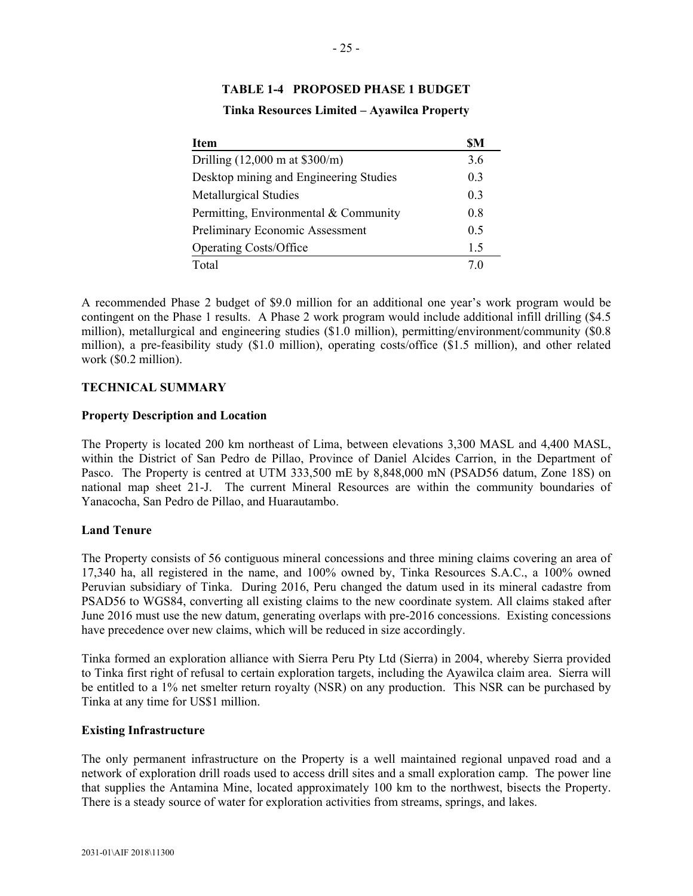| <b>Item</b>                                     | <b>SM</b>      |
|-------------------------------------------------|----------------|
| Drilling $(12,000 \text{ m at } $300/\text{m})$ | 3.6            |
| Desktop mining and Engineering Studies          | 0.3            |
| <b>Metallurgical Studies</b>                    | 0 <sub>3</sub> |
| Permitting, Environmental & Community           | 08             |
| Preliminary Economic Assessment                 | 0.5            |
| <b>Operating Costs/Office</b>                   | 1.5            |
| Total                                           |                |

### **TABLE 1-4 PROPOSED PHASE 1 BUDGET**

#### **Tinka Resources Limited – Ayawilca Property**

A recommended Phase 2 budget of \$9.0 million for an additional one year's work program would be contingent on the Phase 1 results. A Phase 2 work program would include additional infill drilling (\$4.5 million), metallurgical and engineering studies (\$1.0 million), permitting/environment/community (\$0.8 million), a pre-feasibility study (\$1.0 million), operating costs/office (\$1.5 million), and other related work (\$0.2 million).

### **TECHNICAL SUMMARY**

#### **Property Description and Location**

The Property is located 200 km northeast of Lima, between elevations 3,300 MASL and 4,400 MASL, within the District of San Pedro de Pillao, Province of Daniel Alcides Carrion, in the Department of Pasco. The Property is centred at UTM 333,500 mE by 8,848,000 mN (PSAD56 datum, Zone 18S) on national map sheet 21-J. The current Mineral Resources are within the community boundaries of Yanacocha, San Pedro de Pillao, and Huarautambo.

#### **Land Tenure**

The Property consists of 56 contiguous mineral concessions and three mining claims covering an area of 17,340 ha, all registered in the name, and 100% owned by, Tinka Resources S.A.C., a 100% owned Peruvian subsidiary of Tinka. During 2016, Peru changed the datum used in its mineral cadastre from PSAD56 to WGS84, converting all existing claims to the new coordinate system. All claims staked after June 2016 must use the new datum, generating overlaps with pre-2016 concessions. Existing concessions have precedence over new claims, which will be reduced in size accordingly.

Tinka formed an exploration alliance with Sierra Peru Pty Ltd (Sierra) in 2004, whereby Sierra provided to Tinka first right of refusal to certain exploration targets, including the Ayawilca claim area. Sierra will be entitled to a 1% net smelter return royalty (NSR) on any production. This NSR can be purchased by Tinka at any time for US\$1 million.

#### **Existing Infrastructure**

The only permanent infrastructure on the Property is a well maintained regional unpaved road and a network of exploration drill roads used to access drill sites and a small exploration camp. The power line that supplies the Antamina Mine, located approximately 100 km to the northwest, bisects the Property. There is a steady source of water for exploration activities from streams, springs, and lakes.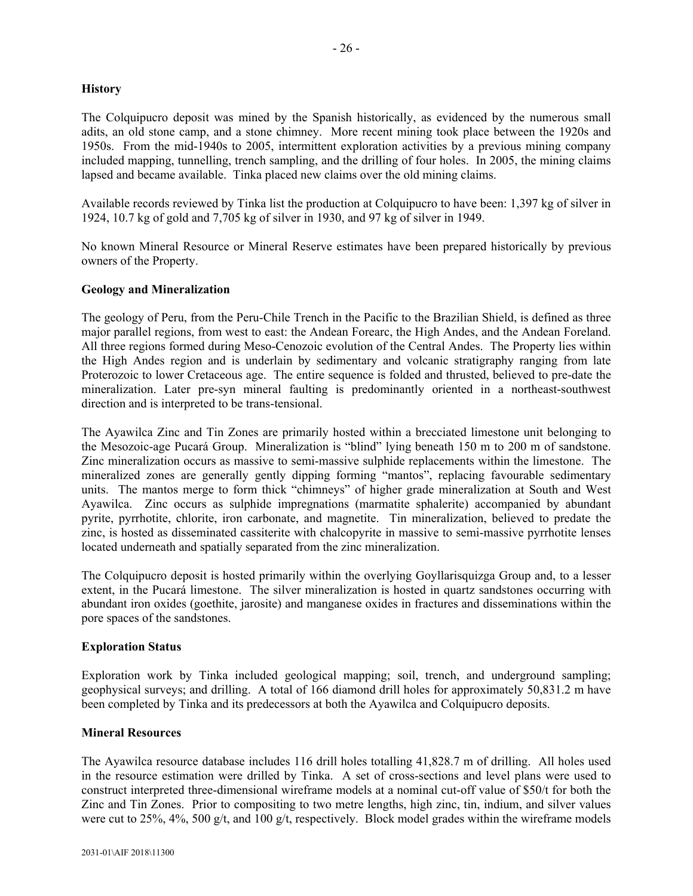### **History**

The Colquipucro deposit was mined by the Spanish historically, as evidenced by the numerous small adits, an old stone camp, and a stone chimney. More recent mining took place between the 1920s and 1950s. From the mid-1940s to 2005, intermittent exploration activities by a previous mining company included mapping, tunnelling, trench sampling, and the drilling of four holes. In 2005, the mining claims lapsed and became available. Tinka placed new claims over the old mining claims.

Available records reviewed by Tinka list the production at Colquipucro to have been: 1,397 kg of silver in 1924, 10.7 kg of gold and 7,705 kg of silver in 1930, and 97 kg of silver in 1949.

No known Mineral Resource or Mineral Reserve estimates have been prepared historically by previous owners of the Property.

### **Geology and Mineralization**

The geology of Peru, from the Peru-Chile Trench in the Pacific to the Brazilian Shield, is defined as three major parallel regions, from west to east: the Andean Forearc, the High Andes, and the Andean Foreland. All three regions formed during Meso-Cenozoic evolution of the Central Andes. The Property lies within the High Andes region and is underlain by sedimentary and volcanic stratigraphy ranging from late Proterozoic to lower Cretaceous age. The entire sequence is folded and thrusted, believed to pre-date the mineralization. Later pre-syn mineral faulting is predominantly oriented in a northeast-southwest direction and is interpreted to be trans-tensional.

The Ayawilca Zinc and Tin Zones are primarily hosted within a brecciated limestone unit belonging to the Mesozoic-age Pucará Group. Mineralization is "blind" lying beneath 150 m to 200 m of sandstone. Zinc mineralization occurs as massive to semi-massive sulphide replacements within the limestone. The mineralized zones are generally gently dipping forming "mantos", replacing favourable sedimentary units. The mantos merge to form thick "chimneys" of higher grade mineralization at South and West Ayawilca. Zinc occurs as sulphide impregnations (marmatite sphalerite) accompanied by abundant pyrite, pyrrhotite, chlorite, iron carbonate, and magnetite. Tin mineralization, believed to predate the zinc, is hosted as disseminated cassiterite with chalcopyrite in massive to semi-massive pyrrhotite lenses located underneath and spatially separated from the zinc mineralization.

The Colquipucro deposit is hosted primarily within the overlying Goyllarisquizga Group and, to a lesser extent, in the Pucará limestone. The silver mineralization is hosted in quartz sandstones occurring with abundant iron oxides (goethite, jarosite) and manganese oxides in fractures and disseminations within the pore spaces of the sandstones.

#### **Exploration Status**

Exploration work by Tinka included geological mapping; soil, trench, and underground sampling; geophysical surveys; and drilling. A total of 166 diamond drill holes for approximately 50,831.2 m have been completed by Tinka and its predecessors at both the Ayawilca and Colquipucro deposits.

#### **Mineral Resources**

The Ayawilca resource database includes 116 drill holes totalling 41,828.7 m of drilling. All holes used in the resource estimation were drilled by Tinka. A set of cross-sections and level plans were used to construct interpreted three-dimensional wireframe models at a nominal cut-off value of \$50/t for both the Zinc and Tin Zones. Prior to compositing to two metre lengths, high zinc, tin, indium, and silver values were cut to 25%, 4%, 500 g/t, and 100 g/t, respectively. Block model grades within the wireframe models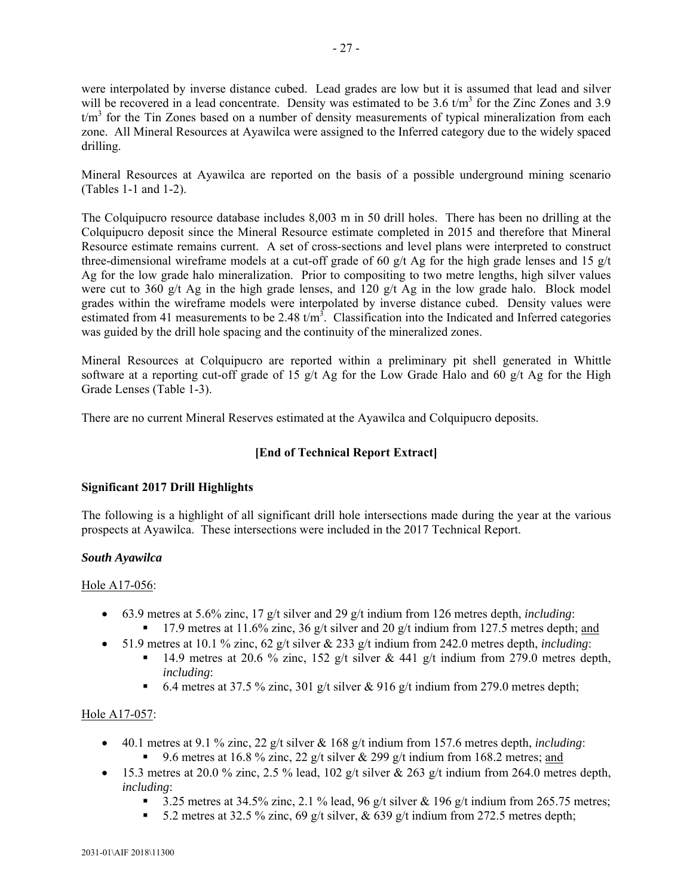were interpolated by inverse distance cubed. Lead grades are low but it is assumed that lead and silver will be recovered in a lead concentrate. Density was estimated to be 3.6  $t/m<sup>3</sup>$  for the Zinc Zones and 3.9  $t/m<sup>3</sup>$  for the Tin Zones based on a number of density measurements of typical mineralization from each zone. All Mineral Resources at Ayawilca were assigned to the Inferred category due to the widely spaced drilling.

Mineral Resources at Ayawilca are reported on the basis of a possible underground mining scenario (Tables 1-1 and 1-2).

The Colquipucro resource database includes 8,003 m in 50 drill holes. There has been no drilling at the Colquipucro deposit since the Mineral Resource estimate completed in 2015 and therefore that Mineral Resource estimate remains current. A set of cross-sections and level plans were interpreted to construct three-dimensional wireframe models at a cut-off grade of 60  $g/t$  Ag for the high grade lenses and 15  $g/t$ Ag for the low grade halo mineralization. Prior to compositing to two metre lengths, high silver values were cut to 360 g/t Ag in the high grade lenses, and 120 g/t Ag in the low grade halo. Block model grades within the wireframe models were interpolated by inverse distance cubed. Density values were estimated from 41 measurements to be 2.48  $t/m<sup>3</sup>$ . Classification into the Indicated and Inferred categories was guided by the drill hole spacing and the continuity of the mineralized zones.

Mineral Resources at Colquipucro are reported within a preliminary pit shell generated in Whittle software at a reporting cut-off grade of 15 g/t Ag for the Low Grade Halo and 60 g/t Ag for the High Grade Lenses (Table 1-3).

There are no current Mineral Reserves estimated at the Ayawilca and Colquipucro deposits.

### **[End of Technical Report Extract]**

### **Significant 2017 Drill Highlights**

The following is a highlight of all significant drill hole intersections made during the year at the various prospects at Ayawilca. These intersections were included in the 2017 Technical Report.

### *South Ayawilca*

#### Hole A17-056:

- 63.9 metres at 5.6% zinc, 17 g/t silver and 29 g/t indium from 126 metres depth, *including*:
	- 17.9 metres at 11.6% zinc, 36 g/t silver and 20 g/t indium from 127.5 metres depth; and
- 51.9 metres at 10.1 % zinc, 62 g/t silver & 233 g/t indium from 242.0 metres depth, *including*:
	- 14.9 metres at 20.6 % zinc, 152 g/t silver & 441 g/t indium from 279.0 metres depth, *including*:
	- 6.4 metres at 37.5 % zinc, 301 g/t silver & 916 g/t indium from 279.0 metres depth;

### Hole A17-057:

- 40.1 metres at 9.1 % zinc, 22 g/t silver & 168 g/t indium from 157.6 metres depth, *including*: 9.6 metres at 16.8 % zinc, 22 g/t silver & 299 g/t indium from 168.2 metres; and
- $\bullet$  15.3 metres at 20.0 % zinc, 2.5 % lead, 102 g/t silver & 263 g/t indium from 264.0 metres depth, *including*:
	- 3.25 metres at 34.5% zinc, 2.1 % lead, 96 g/t silver & 196 g/t indium from 265.75 metres;
	- 5.2 metres at 32.5 % zinc, 69 g/t silver,  $\&$  639 g/t indium from 272.5 metres depth;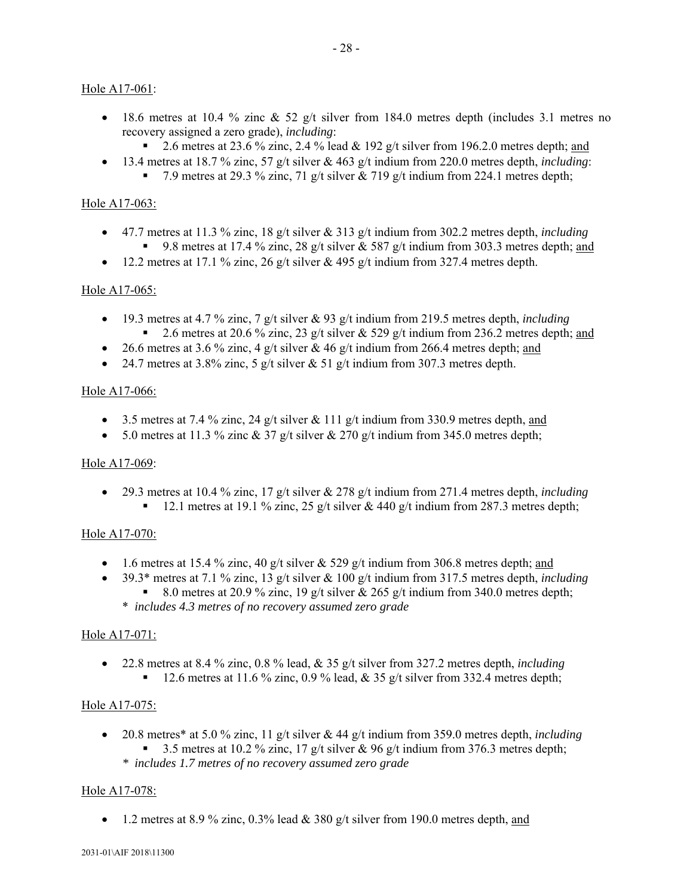### Hole A17-061:

- 18.6 metres at 10.4 % zinc  $\&$  52 g/t silver from 184.0 metres depth (includes 3.1 metres no recovery assigned a zero grade), *including*:
	- 2.6 metres at 23.6 % zinc, 2.4 % lead & 192 g/t silver from 196.2.0 metres depth; and
- 13.4 metres at 18.7 % zinc, 57 g/t silver & 463 g/t indium from 220.0 metres depth, *including*:
	- 7.9 metres at 29.3 % zinc, 71 g/t silver  $\&$  719 g/t indium from 224.1 metres depth;

### Hole A17-063:

- 47.7 metres at 11.3 % zinc, 18 g/t silver & 313 g/t indium from 302.2 metres depth, *including* 9.8 metres at 17.4 % zinc, 28 g/t silver & 587 g/t indium from 303.3 metres depth; and
- $\bullet$  12.2 metres at 17.1 % zinc, 26 g/t silver & 495 g/t indium from 327.4 metres depth.

### Hole A17-065:

- $19.3$  metres at 4.7 % zinc, 7 g/t silver & 93 g/t indium from 219.5 metres depth, *including* 2.6 metres at 20.6 % zinc, 23 g/t silver & 529 g/t indium from 236.2 metres depth; and
- 26.6 metres at 3.6 % zinc, 4 g/t silver & 46 g/t indium from 266.4 metres depth; and
- 24.7 metres at 3.8% zinc, 5 g/t silver  $\&$  51 g/t indium from 307.3 metres depth.

### Hole A17-066:

- $\bullet$  3.5 metres at 7.4 % zinc, 24 g/t silver & 111 g/t indium from 330.9 metres depth, and
- $\bullet$  5.0 metres at 11.3 % zinc & 37 g/t silver & 270 g/t indium from 345.0 metres depth;

### Hole A17-069:

 29.3 metres at 10.4 % zinc, 17 g/t silver & 278 g/t indium from 271.4 metres depth, *including* 12.1 metres at 19.1 % zinc, 25 g/t silver & 440 g/t indium from 287.3 metres depth;

### Hole A17-070:

- $\bullet$  1.6 metres at 15.4 % zinc, 40 g/t silver & 529 g/t indium from 306.8 metres depth; and
- 39.3\* metres at 7.1 % zinc, 13 g/t silver & 100 g/t indium from 317.5 metres depth, *including* 8.0 metres at 20.9 % zinc, 19 g/t silver & 265 g/t indium from 340.0 metres depth;
	- \* *includes 4.3 metres of no recovery assumed zero grade*

### Hole A17-071:

 22.8 metres at 8.4 % zinc, 0.8 % lead, & 35 g/t silver from 327.2 metres depth, *including*  $12.6$  metres at 11.6 % zinc, 0.9 % lead, & 35 g/t silver from 332.4 metres depth;

### Hole A17-075:

- 20.8 metres\* at 5.0 % zinc, 11 g/t silver & 44 g/t indium from 359.0 metres depth, *including* 3.5 metres at 10.2 % zinc, 17 g/t silver & 96 g/t indium from 376.3 metres depth;
	- *\* includes 1.7 metres of no recovery assumed zero grade*

### Hole A17-078:

• 1.2 metres at 8.9 % zinc, 0.3% lead & 380 g/t silver from 190.0 metres depth, and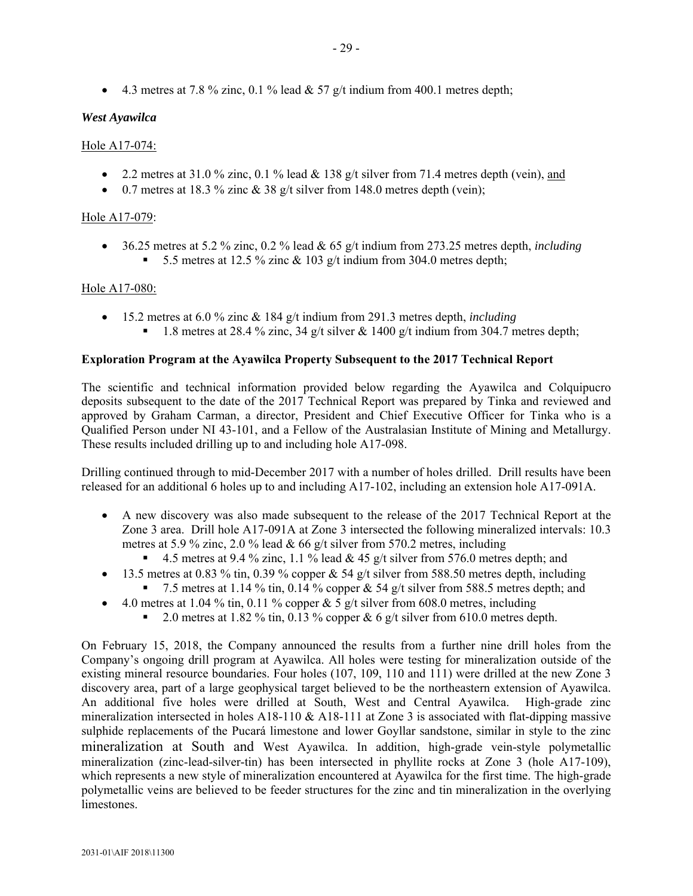4.3 metres at 7.8 % zinc, 0.1 % lead & 57 g/t indium from 400.1 metres depth;

### *West Ayawilca*

### Hole A17-074:

- 2.2 metres at 31.0 % zinc, 0.1 % lead  $&$  138 g/t silver from 71.4 metres depth (vein), and
- $\bullet$  0.7 metres at 18.3 % zinc & 38 g/t silver from 148.0 metres depth (vein);

### Hole A17-079:

 36.25 metres at 5.2 % zinc, 0.2 % lead & 65 g/t indium from 273.25 metres depth, *including* 5.5 metres at 12.5 % zinc  $\&$  103 g/t indium from 304.0 metres depth;

### Hole A17-080:

 15.2 metres at 6.0 % zinc & 184 g/t indium from 291.3 metres depth, *including* 1.8 metres at 28.4 % zinc, 34 g/t silver  $\&$  1400 g/t indium from 304.7 metres depth;

### **Exploration Program at the Ayawilca Property Subsequent to the 2017 Technical Report**

The scientific and technical information provided below regarding the Ayawilca and Colquipucro deposits subsequent to the date of the 2017 Technical Report was prepared by Tinka and reviewed and approved by Graham Carman, a director, President and Chief Executive Officer for Tinka who is a Qualified Person under NI 43-101, and a Fellow of the Australasian Institute of Mining and Metallurgy. These results included drilling up to and including hole A17-098.

Drilling continued through to mid-December 2017 with a number of holes drilled. Drill results have been released for an additional 6 holes up to and including A17-102, including an extension hole A17-091A.

- A new discovery was also made subsequent to the release of the 2017 Technical Report at the Zone 3 area. Drill hole A17-091A at Zone 3 intersected the following mineralized intervals: 10.3 metres at 5.9 % zinc, 2.0 % lead  $& 66$  g/t silver from 570.2 metres, including
	- 4.5 metres at 9.4 % zinc, 1.1 % lead & 45 g/t silver from 576.0 metres depth; and
- $\bullet$  13.5 metres at 0.83 % tin, 0.39 % copper & 54 g/t silver from 588.50 metres depth, including
	- 7.5 metres at 1.14 % tin, 0.14 % copper & 54 g/t silver from 588.5 metres depth; and
- 4.0 metres at 1.04 % tin, 0.11 % copper & 5 g/t silver from 608.0 metres, including
	- 2.0 metres at 1.82 % tin, 0.13 % copper & 6 g/t silver from 610.0 metres depth.

On February 15, 2018, the Company announced the results from a further nine drill holes from the Company's ongoing drill program at Ayawilca. All holes were testing for mineralization outside of the existing mineral resource boundaries. Four holes (107, 109, 110 and 111) were drilled at the new Zone 3 discovery area, part of a large geophysical target believed to be the northeastern extension of Ayawilca. An additional five holes were drilled at South, West and Central Ayawilca. High-grade zinc mineralization intersected in holes A18-110 & A18-111 at Zone 3 is associated with flat-dipping massive sulphide replacements of the Pucará limestone and lower Goyllar sandstone, similar in style to the zinc mineralization at South and West Ayawilca. In addition, high-grade vein-style polymetallic mineralization (zinc-lead-silver-tin) has been intersected in phyllite rocks at Zone 3 (hole A17-109), which represents a new style of mineralization encountered at Ayawilca for the first time. The high-grade polymetallic veins are believed to be feeder structures for the zinc and tin mineralization in the overlying **limestones**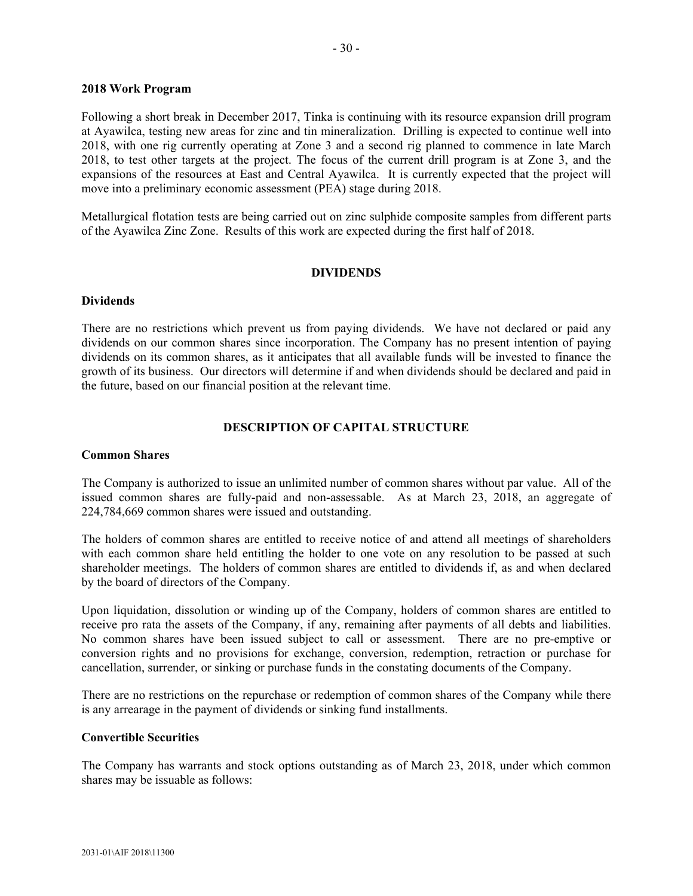#### **2018 Work Program**

Following a short break in December 2017, Tinka is continuing with its resource expansion drill program at Ayawilca, testing new areas for zinc and tin mineralization. Drilling is expected to continue well into 2018, with one rig currently operating at Zone 3 and a second rig planned to commence in late March 2018, to test other targets at the project. The focus of the current drill program is at Zone 3, and the expansions of the resources at East and Central Ayawilca. It is currently expected that the project will move into a preliminary economic assessment (PEA) stage during 2018.

Metallurgical flotation tests are being carried out on zinc sulphide composite samples from different parts of the Ayawilca Zinc Zone. Results of this work are expected during the first half of 2018.

#### **DIVIDENDS**

#### **Dividends**

There are no restrictions which prevent us from paying dividends. We have not declared or paid any dividends on our common shares since incorporation. The Company has no present intention of paying dividends on its common shares, as it anticipates that all available funds will be invested to finance the growth of its business. Our directors will determine if and when dividends should be declared and paid in the future, based on our financial position at the relevant time.

### **DESCRIPTION OF CAPITAL STRUCTURE**

### **Common Shares**

The Company is authorized to issue an unlimited number of common shares without par value. All of the issued common shares are fully-paid and non-assessable. As at March 23, 2018, an aggregate of 224,784,669 common shares were issued and outstanding.

The holders of common shares are entitled to receive notice of and attend all meetings of shareholders with each common share held entitling the holder to one vote on any resolution to be passed at such shareholder meetings. The holders of common shares are entitled to dividends if, as and when declared by the board of directors of the Company.

Upon liquidation, dissolution or winding up of the Company, holders of common shares are entitled to receive pro rata the assets of the Company, if any, remaining after payments of all debts and liabilities. No common shares have been issued subject to call or assessment. There are no pre-emptive or conversion rights and no provisions for exchange, conversion, redemption, retraction or purchase for cancellation, surrender, or sinking or purchase funds in the constating documents of the Company.

There are no restrictions on the repurchase or redemption of common shares of the Company while there is any arrearage in the payment of dividends or sinking fund installments.

#### **Convertible Securities**

The Company has warrants and stock options outstanding as of March 23, 2018, under which common shares may be issuable as follows: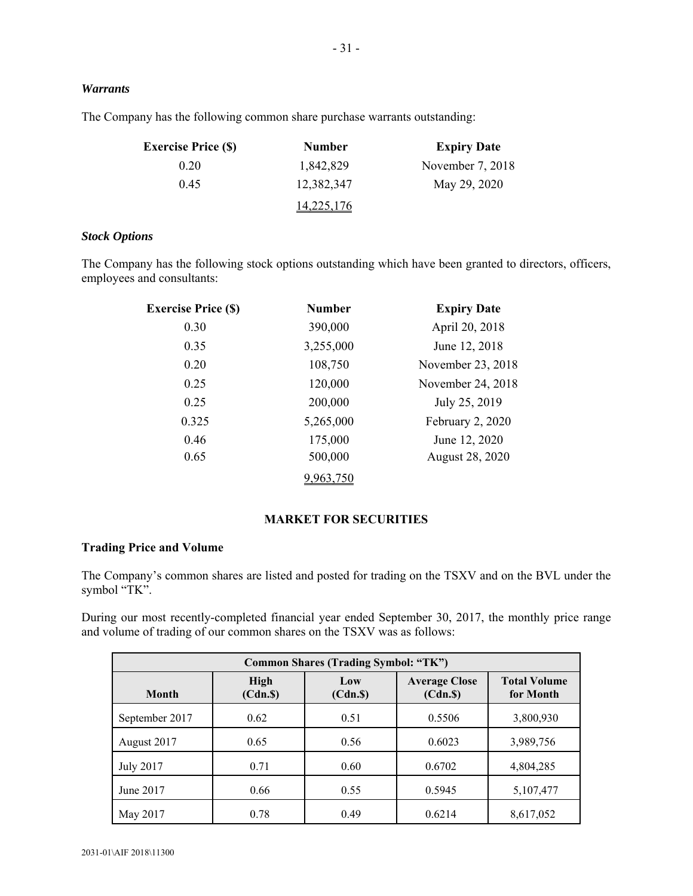### *Warrants*

The Company has the following common share purchase warrants outstanding:

| <b>Exercise Price (\$)</b> | <b>Number</b>     | <b>Expiry Date</b> |
|----------------------------|-------------------|--------------------|
| 0.20                       | 1,842,829         | November $7, 2018$ |
| 0.45                       | 12,382,347        | May 29, 2020       |
|                            | <u>14,225,176</u> |                    |

### *Stock Options*

The Company has the following stock options outstanding which have been granted to directors, officers, employees and consultants:

| <b>Exercise Price (\$)</b> | <b>Number</b> | <b>Expiry Date</b> |
|----------------------------|---------------|--------------------|
| 0.30                       | 390,000       | April 20, 2018     |
| 0.35                       | 3,255,000     | June 12, 2018      |
| 0.20                       | 108,750       | November 23, 2018  |
| 0.25                       | 120,000       | November 24, 2018  |
| 0.25                       | 200,000       | July 25, 2019      |
| 0.325                      | 5,265,000     | February 2, 2020   |
| 0.46                       | 175,000       | June 12, 2020      |
| 0.65                       | 500,000       | August 28, 2020    |
|                            |               |                    |

### **MARKET FOR SECURITIES**

### **Trading Price and Volume**

The Company's common shares are listed and posted for trading on the TSXV and on the BVL under the symbol "TK".

During our most recently-completed financial year ended September 30, 2017, the monthly price range and volume of trading of our common shares on the TSXV was as follows:

| <b>Common Shares (Trading Symbol: "TK")</b>                                                                                     |      |      |        |           |
|---------------------------------------------------------------------------------------------------------------------------------|------|------|--------|-----------|
| <b>Average Close</b><br><b>High</b><br><b>Total Volume</b><br>Low<br>(Cdn.S)<br>(Cdn.S)<br>(Cdn.S)<br>for Month<br><b>Month</b> |      |      |        |           |
| September 2017                                                                                                                  | 0.62 | 0.51 | 0.5506 | 3,800,930 |
| August 2017                                                                                                                     | 0.65 | 0.56 | 0.6023 | 3,989,756 |
| <b>July 2017</b>                                                                                                                | 0.71 | 0.60 | 0.6702 | 4,804,285 |
| June 2017                                                                                                                       | 0.66 | 0.55 | 0.5945 | 5,107,477 |
| May 2017                                                                                                                        | 0.78 | 0.49 | 0.6214 | 8,617,052 |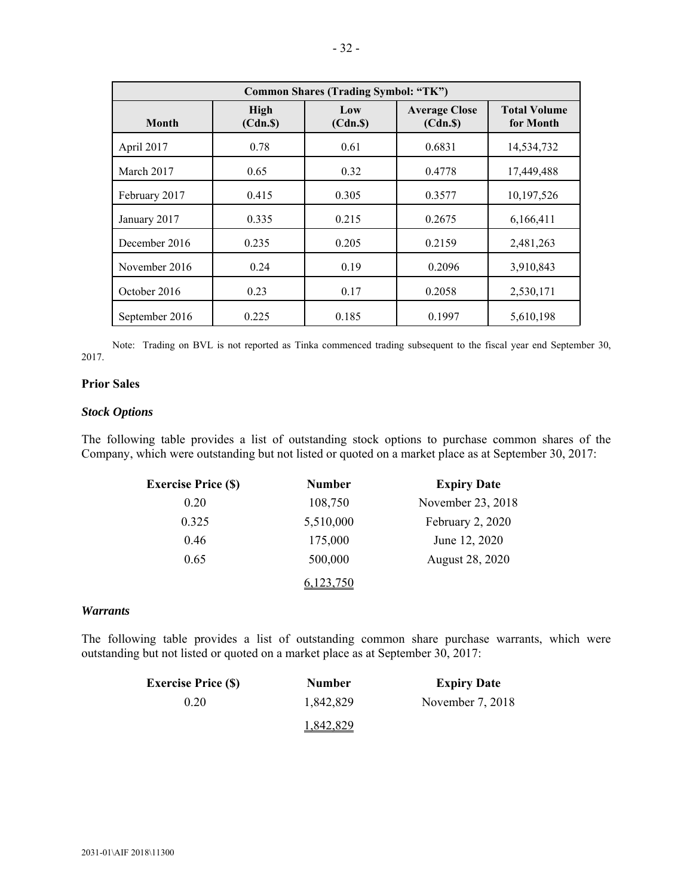| <b>Common Shares (Trading Symbol: "TK")</b>                                                                              |       |       |        |            |  |
|--------------------------------------------------------------------------------------------------------------------------|-------|-------|--------|------------|--|
| <b>Average Close</b><br><b>Total Volume</b><br>High<br>Low<br><b>Month</b><br>(Cdn.S)<br>for Month<br>(Cdn.S)<br>(Cdn.S) |       |       |        |            |  |
| April 2017                                                                                                               | 0.78  | 0.61  | 0.6831 | 14,534,732 |  |
| March 2017                                                                                                               | 0.65  | 0.32  | 0.4778 | 17,449,488 |  |
| February 2017                                                                                                            | 0.415 | 0.305 | 0.3577 | 10,197,526 |  |
| January 2017                                                                                                             | 0.335 | 0.215 | 0.2675 | 6,166,411  |  |
| December 2016                                                                                                            | 0.235 | 0.205 | 0.2159 | 2,481,263  |  |
| November 2016                                                                                                            | 0.24  | 0.19  | 0.2096 | 3,910,843  |  |
| October 2016                                                                                                             | 0.23  | 0.17  | 0.2058 | 2,530,171  |  |
| September 2016                                                                                                           | 0.225 | 0.185 | 0.1997 | 5,610,198  |  |

Note: Trading on BVL is not reported as Tinka commenced trading subsequent to the fiscal year end September 30, 2017.

#### **Prior Sales**

#### *Stock Options*

The following table provides a list of outstanding stock options to purchase common shares of the Company, which were outstanding but not listed or quoted on a market place as at September 30, 2017:

| <b>Exercise Price (\$)</b> | Number    | <b>Expiry Date</b> |
|----------------------------|-----------|--------------------|
| 0.20                       | 108,750   | November 23, 2018  |
| 0.325                      | 5,510,000 | February 2, 2020   |
| 0.46                       | 175,000   | June 12, 2020      |
| 0.65                       | 500,000   | August 28, 2020    |
|                            |           |                    |

### *Warrants*

The following table provides a list of outstanding common share purchase warrants, which were outstanding but not listed or quoted on a market place as at September 30, 2017:

| <b>Exercise Price (S)</b> | <b>Number</b> | <b>Expiry Date</b> |
|---------------------------|---------------|--------------------|
| 0.20                      | 1,842,829     | November $7, 2018$ |
|                           | 1,842,829     |                    |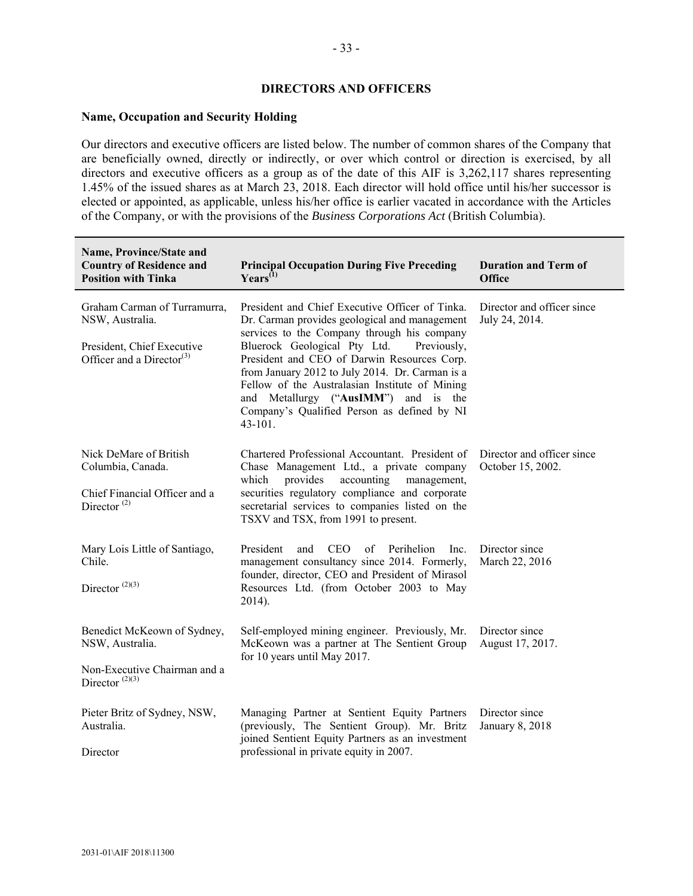#### **DIRECTORS AND OFFICERS**

#### **Name, Occupation and Security Holding**

Our directors and executive officers are listed below. The number of common shares of the Company that are beneficially owned, directly or indirectly, or over which control or direction is exercised, by all directors and executive officers as a group as of the date of this AIF is 3,262,117 shares representing 1.45% of the issued shares as at March 23, 2018. Each director will hold office until his/her successor is elected or appointed, as applicable, unless his/her office is earlier vacated in accordance with the Articles of the Company, or with the provisions of the *Business Corporations Act* (British Columbia).

| Name, Province/State and<br><b>Country of Residence and</b><br><b>Position with Tinka</b>                              | <b>Principal Occupation During Five Preceding</b><br>$\text{Years}^{(1)}$                                                                                                                                                                                                                                                                                                                                                                            | <b>Duration and Term of</b><br><b>Office</b>    |
|------------------------------------------------------------------------------------------------------------------------|------------------------------------------------------------------------------------------------------------------------------------------------------------------------------------------------------------------------------------------------------------------------------------------------------------------------------------------------------------------------------------------------------------------------------------------------------|-------------------------------------------------|
| Graham Carman of Turramurra,<br>NSW, Australia.<br>President, Chief Executive<br>Officer and a Director <sup>(3)</sup> | President and Chief Executive Officer of Tinka.<br>Dr. Carman provides geological and management<br>services to the Company through his company<br>Bluerock Geological Pty Ltd.<br>Previously,<br>President and CEO of Darwin Resources Corp.<br>from January 2012 to July 2014. Dr. Carman is a<br>Fellow of the Australasian Institute of Mining<br>and Metallurgy ("AusIMM") and is the<br>Company's Qualified Person as defined by NI<br>43-101. | Director and officer since<br>July 24, 2014.    |
| Nick DeMare of British<br>Columbia, Canada.<br>Chief Financial Officer and a<br>Director <sup><math>(2)</math></sup>   | Chartered Professional Accountant. President of<br>Chase Management Ltd., a private company<br>which<br>provides<br>accounting<br>management,<br>securities regulatory compliance and corporate<br>secretarial services to companies listed on the<br>TSXV and TSX, from 1991 to present.                                                                                                                                                            | Director and officer since<br>October 15, 2002. |
| Mary Lois Little of Santiago,<br>Chile.<br>Director $^{(2)(3)}$                                                        | President<br><b>CEO</b><br>Perihelion<br>and<br>of<br>Inc.<br>management consultancy since 2014. Formerly,<br>founder, director, CEO and President of Mirasol<br>Resources Ltd. (from October 2003 to May<br>2014).                                                                                                                                                                                                                                  | Director since<br>March 22, 2016                |
| Benedict McKeown of Sydney,<br>NSW, Australia.<br>Non-Executive Chairman and a<br>Director $(2)(3)$                    | Self-employed mining engineer. Previously, Mr.<br>McKeown was a partner at The Sentient Group<br>for 10 years until May 2017.                                                                                                                                                                                                                                                                                                                        | Director since<br>August 17, 2017.              |
| Pieter Britz of Sydney, NSW,<br>Australia.<br>Director                                                                 | Managing Partner at Sentient Equity Partners<br>(previously, The Sentient Group). Mr. Britz<br>joined Sentient Equity Partners as an investment<br>professional in private equity in 2007.                                                                                                                                                                                                                                                           | Director since<br>January 8, 2018               |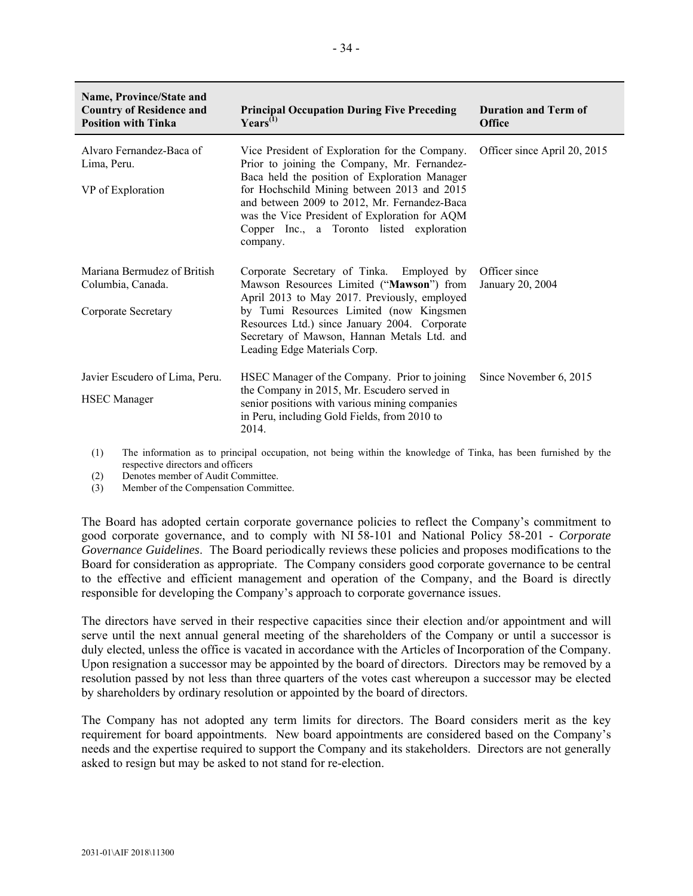| Name, Province/State and<br><b>Country of Residence and</b><br><b>Position with Tinka</b> | <b>Principal Occupation During Five Preceding</b><br>$\text{Years}^{(1)}$                                                                                                                      | <b>Duration and Term of</b><br><b>Office</b> |
|-------------------------------------------------------------------------------------------|------------------------------------------------------------------------------------------------------------------------------------------------------------------------------------------------|----------------------------------------------|
| Alvaro Fernandez-Baca of<br>Lima, Peru.<br>VP of Exploration                              | Vice President of Exploration for the Company.<br>Prior to joining the Company, Mr. Fernandez-<br>Baca held the position of Exploration Manager<br>for Hochschild Mining between 2013 and 2015 | Officer since April 20, 2015                 |
|                                                                                           | and between 2009 to 2012, Mr. Fernandez-Baca<br>was the Vice President of Exploration for AQM<br>Copper Inc., a Toronto listed exploration<br>company.                                         |                                              |
| Mariana Bermudez of British<br>Columbia, Canada.                                          | Corporate Secretary of Tinka. Employed by<br>Mawson Resources Limited ("Mawson") from<br>April 2013 to May 2017. Previously, employed                                                          | Officer since<br>January 20, 2004            |
| Corporate Secretary                                                                       | by Tumi Resources Limited (now Kingsmen<br>Resources Ltd.) since January 2004. Corporate<br>Secretary of Mawson, Hannan Metals Ltd. and<br>Leading Edge Materials Corp.                        |                                              |
| Javier Escudero of Lima, Peru.                                                            | HSEC Manager of the Company. Prior to joining<br>the Company in 2015, Mr. Escudero served in                                                                                                   | Since November 6, 2015                       |
| <b>HSEC</b> Manager                                                                       | senior positions with various mining companies<br>in Peru, including Gold Fields, from 2010 to<br>2014.                                                                                        |                                              |

(1) The information as to principal occupation, not being within the knowledge of Tinka, has been furnished by the respective directors and officers

(2) Denotes member of Audit Committee.

(3) Member of the Compensation Committee.

The Board has adopted certain corporate governance policies to reflect the Company's commitment to good corporate governance, and to comply with NI 58-101 and National Policy 58-201 - *Corporate Governance Guidelines*. The Board periodically reviews these policies and proposes modifications to the Board for consideration as appropriate. The Company considers good corporate governance to be central to the effective and efficient management and operation of the Company, and the Board is directly responsible for developing the Company's approach to corporate governance issues.

The directors have served in their respective capacities since their election and/or appointment and will serve until the next annual general meeting of the shareholders of the Company or until a successor is duly elected, unless the office is vacated in accordance with the Articles of Incorporation of the Company. Upon resignation a successor may be appointed by the board of directors. Directors may be removed by a resolution passed by not less than three quarters of the votes cast whereupon a successor may be elected by shareholders by ordinary resolution or appointed by the board of directors.

The Company has not adopted any term limits for directors. The Board considers merit as the key requirement for board appointments. New board appointments are considered based on the Company's needs and the expertise required to support the Company and its stakeholders. Directors are not generally asked to resign but may be asked to not stand for re-election.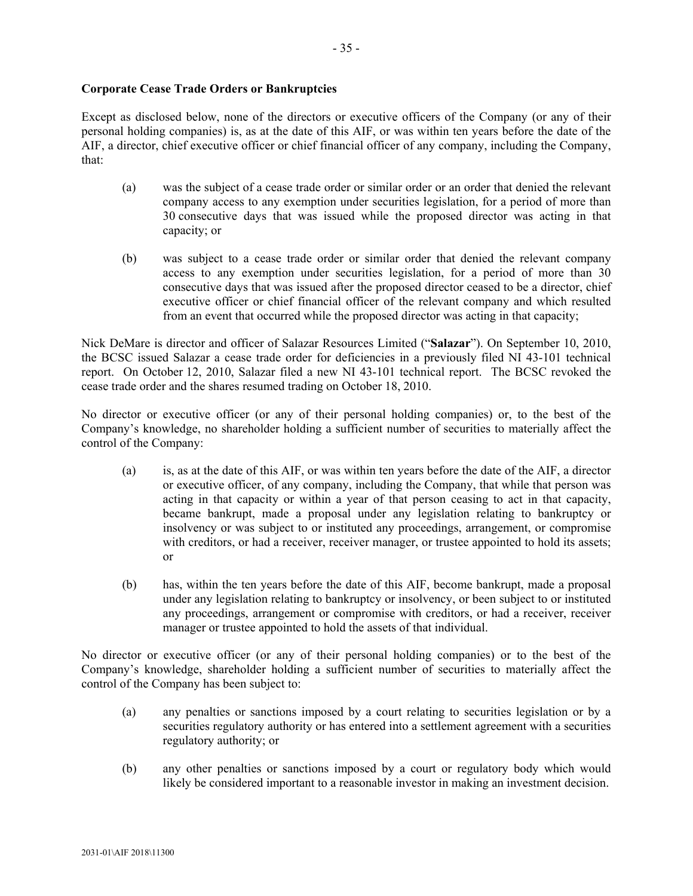#### **Corporate Cease Trade Orders or Bankruptcies**

Except as disclosed below, none of the directors or executive officers of the Company (or any of their personal holding companies) is, as at the date of this AIF, or was within ten years before the date of the AIF, a director, chief executive officer or chief financial officer of any company, including the Company, that:

- (a) was the subject of a cease trade order or similar order or an order that denied the relevant company access to any exemption under securities legislation, for a period of more than 30 consecutive days that was issued while the proposed director was acting in that capacity; or
- (b) was subject to a cease trade order or similar order that denied the relevant company access to any exemption under securities legislation, for a period of more than 30 consecutive days that was issued after the proposed director ceased to be a director, chief executive officer or chief financial officer of the relevant company and which resulted from an event that occurred while the proposed director was acting in that capacity;

Nick DeMare is director and officer of Salazar Resources Limited ("**Salazar**"). On September 10, 2010, the BCSC issued Salazar a cease trade order for deficiencies in a previously filed NI 43-101 technical report. On October 12, 2010, Salazar filed a new NI 43-101 technical report. The BCSC revoked the cease trade order and the shares resumed trading on October 18, 2010.

No director or executive officer (or any of their personal holding companies) or, to the best of the Company's knowledge, no shareholder holding a sufficient number of securities to materially affect the control of the Company:

- (a) is, as at the date of this AIF, or was within ten years before the date of the AIF, a director or executive officer, of any company, including the Company, that while that person was acting in that capacity or within a year of that person ceasing to act in that capacity, became bankrupt, made a proposal under any legislation relating to bankruptcy or insolvency or was subject to or instituted any proceedings, arrangement, or compromise with creditors, or had a receiver, receiver manager, or trustee appointed to hold its assets; or
- (b) has, within the ten years before the date of this AIF, become bankrupt, made a proposal under any legislation relating to bankruptcy or insolvency, or been subject to or instituted any proceedings, arrangement or compromise with creditors, or had a receiver, receiver manager or trustee appointed to hold the assets of that individual.

No director or executive officer (or any of their personal holding companies) or to the best of the Company's knowledge, shareholder holding a sufficient number of securities to materially affect the control of the Company has been subject to:

- (a) any penalties or sanctions imposed by a court relating to securities legislation or by a securities regulatory authority or has entered into a settlement agreement with a securities regulatory authority; or
- (b) any other penalties or sanctions imposed by a court or regulatory body which would likely be considered important to a reasonable investor in making an investment decision.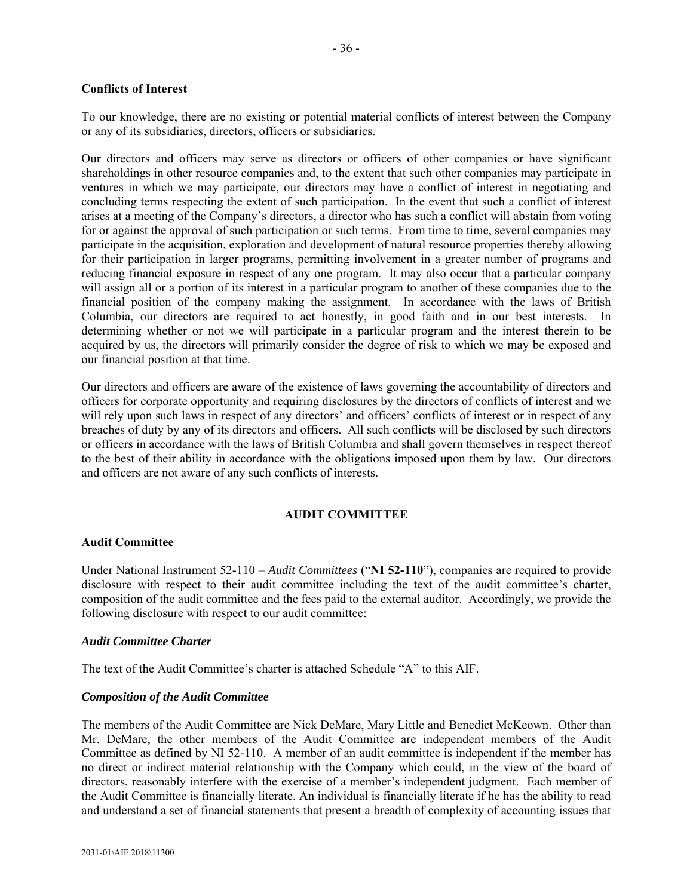#### **Conflicts of Interest**

To our knowledge, there are no existing or potential material conflicts of interest between the Company or any of its subsidiaries, directors, officers or subsidiaries.

Our directors and officers may serve as directors or officers of other companies or have significant shareholdings in other resource companies and, to the extent that such other companies may participate in ventures in which we may participate, our directors may have a conflict of interest in negotiating and concluding terms respecting the extent of such participation. In the event that such a conflict of interest arises at a meeting of the Company's directors, a director who has such a conflict will abstain from voting for or against the approval of such participation or such terms. From time to time, several companies may participate in the acquisition, exploration and development of natural resource properties thereby allowing for their participation in larger programs, permitting involvement in a greater number of programs and reducing financial exposure in respect of any one program. It may also occur that a particular company will assign all or a portion of its interest in a particular program to another of these companies due to the financial position of the company making the assignment. In accordance with the laws of British Columbia, our directors are required to act honestly, in good faith and in our best interests. In determining whether or not we will participate in a particular program and the interest therein to be acquired by us, the directors will primarily consider the degree of risk to which we may be exposed and our financial position at that time.

Our directors and officers are aware of the existence of laws governing the accountability of directors and officers for corporate opportunity and requiring disclosures by the directors of conflicts of interest and we will rely upon such laws in respect of any directors' and officers' conflicts of interest or in respect of any breaches of duty by any of its directors and officers. All such conflicts will be disclosed by such directors or officers in accordance with the laws of British Columbia and shall govern themselves in respect thereof to the best of their ability in accordance with the obligations imposed upon them by law. Our directors and officers are not aware of any such conflicts of interests.

### **AUDIT COMMITTEE**

#### **Audit Committee**

Under National Instrument 52-110 – *Audit Committees* ("**NI 52-110**"), companies are required to provide disclosure with respect to their audit committee including the text of the audit committee's charter, composition of the audit committee and the fees paid to the external auditor. Accordingly, we provide the following disclosure with respect to our audit committee:

#### *Audit Committee Charter*

The text of the Audit Committee's charter is attached Schedule "A" to this AIF.

#### *Composition of the Audit Committee*

The members of the Audit Committee are Nick DeMare, Mary Little and Benedict McKeown. Other than Mr. DeMare, the other members of the Audit Committee are independent members of the Audit Committee as defined by NI 52-110. A member of an audit committee is independent if the member has no direct or indirect material relationship with the Company which could, in the view of the board of directors, reasonably interfere with the exercise of a member's independent judgment. Each member of the Audit Committee is financially literate. An individual is financially literate if he has the ability to read and understand a set of financial statements that present a breadth of complexity of accounting issues that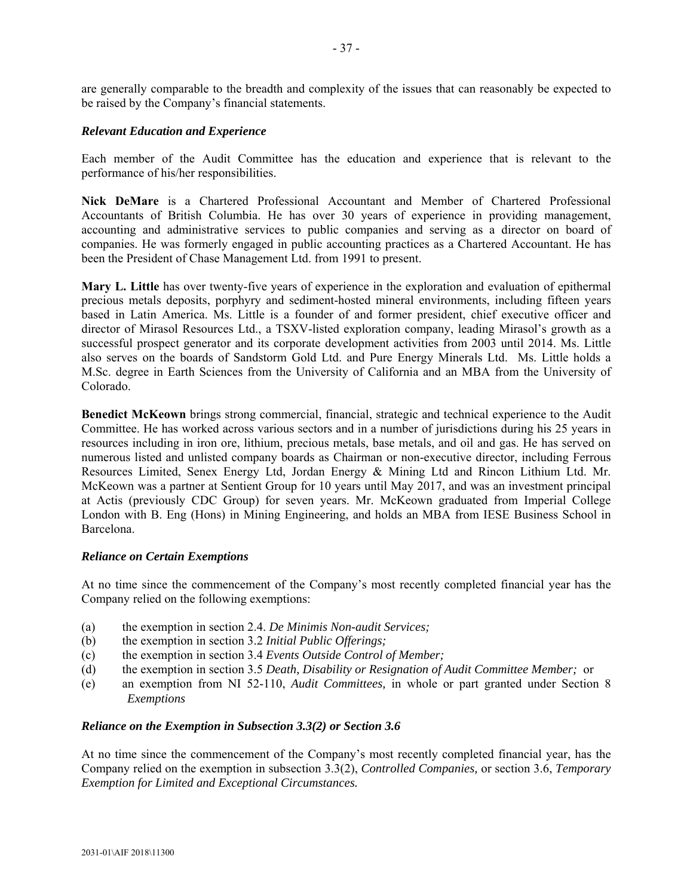are generally comparable to the breadth and complexity of the issues that can reasonably be expected to be raised by the Company's financial statements.

#### *Relevant Education and Experience*

Each member of the Audit Committee has the education and experience that is relevant to the performance of his/her responsibilities.

**Nick DeMare** is a Chartered Professional Accountant and Member of Chartered Professional Accountants of British Columbia. He has over 30 years of experience in providing management, accounting and administrative services to public companies and serving as a director on board of companies. He was formerly engaged in public accounting practices as a Chartered Accountant. He has been the President of Chase Management Ltd. from 1991 to present.

**Mary L. Little** has over twenty-five years of experience in the exploration and evaluation of epithermal precious metals deposits, porphyry and sediment-hosted mineral environments, including fifteen years based in Latin America. Ms. Little is a founder of and former president, chief executive officer and director of Mirasol Resources Ltd., a TSXV-listed exploration company, leading Mirasol's growth as a successful prospect generator and its corporate development activities from 2003 until 2014. Ms. Little also serves on the boards of Sandstorm Gold Ltd. and Pure Energy Minerals Ltd. Ms. Little holds a M.Sc. degree in Earth Sciences from the University of California and an MBA from the University of Colorado.

**Benedict McKeown** brings strong commercial, financial, strategic and technical experience to the Audit Committee. He has worked across various sectors and in a number of jurisdictions during his 25 years in resources including in iron ore, lithium, precious metals, base metals, and oil and gas. He has served on numerous listed and unlisted company boards as Chairman or non-executive director, including Ferrous Resources Limited, Senex Energy Ltd, Jordan Energy & Mining Ltd and Rincon Lithium Ltd. Mr. McKeown was a partner at Sentient Group for 10 years until May 2017, and was an investment principal at Actis (previously CDC Group) for seven years. Mr. McKeown graduated from Imperial College London with B. Eng (Hons) in Mining Engineering, and holds an MBA from IESE Business School in Barcelona.

#### *Reliance on Certain Exemptions*

At no time since the commencement of the Company's most recently completed financial year has the Company relied on the following exemptions:

- (a) the exemption in section 2.4. *De Minimis Non-audit Services;*
- (b) the exemption in section 3.2 *Initial Public Offerings;*
- (c) the exemption in section 3.4 *Events Outside Control of Member;*
- (d) the exemption in section 3.5 *Death, Disability or Resignation of Audit Committee Member;* or
- (e) an exemption from NI 52-110, *Audit Committees,* in whole or part granted under Section 8 *Exemptions*

#### *Reliance on the Exemption in Subsection 3.3(2) or Section 3.6*

At no time since the commencement of the Company's most recently completed financial year, has the Company relied on the exemption in subsection 3.3(2), *Controlled Companies,* or section 3.6, *Temporary Exemption for Limited and Exceptional Circumstances.*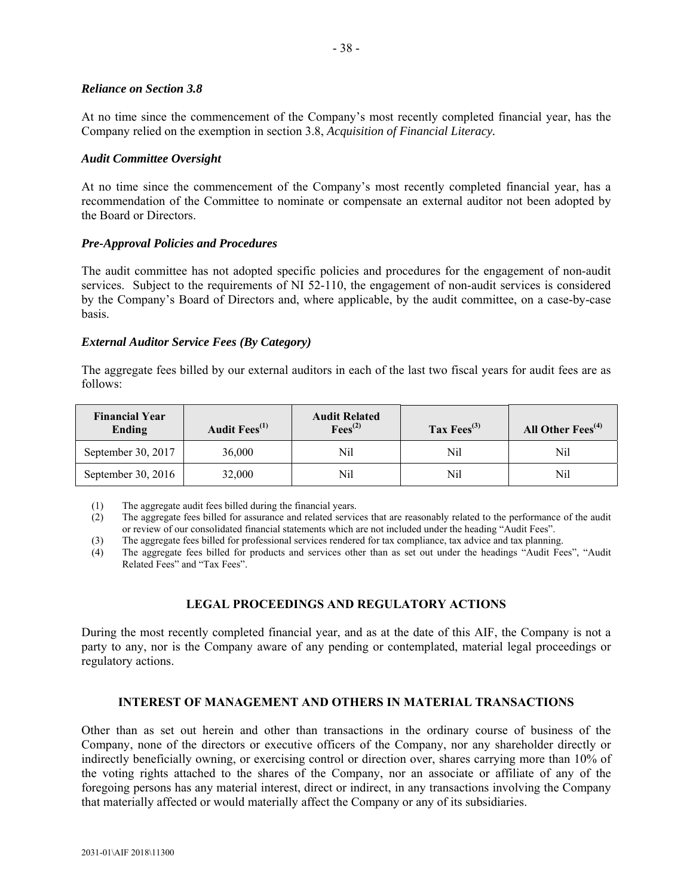#### *Reliance on Section 3.8*

At no time since the commencement of the Company's most recently completed financial year, has the Company relied on the exemption in section 3.8, *Acquisition of Financial Literacy.* 

#### *Audit Committee Oversight*

At no time since the commencement of the Company's most recently completed financial year, has a recommendation of the Committee to nominate or compensate an external auditor not been adopted by the Board or Directors.

### *Pre-Approval Policies and Procedures*

The audit committee has not adopted specific policies and procedures for the engagement of non-audit services. Subject to the requirements of NI 52-110, the engagement of non-audit services is considered by the Company's Board of Directors and, where applicable, by the audit committee, on a case-by-case basis.

### *External Auditor Service Fees (By Category)*

The aggregate fees billed by our external auditors in each of the last two fiscal years for audit fees are as follows:

| <b>Financial Year</b><br>Ending | Audit Fees <sup>(1)</sup> | <b>Audit Related</b><br>$\text{Fees}^{(2)}$ | Tax $Fees^{(3)}$ | All Other $Fees^{(4)}$ |
|---------------------------------|---------------------------|---------------------------------------------|------------------|------------------------|
| September 30, 2017              | 36,000                    | Nil                                         | Nil              | Nil                    |
| September 30, 2016              | 32,000                    | Nil                                         | Nil              | Nil                    |

(1) The aggregate audit fees billed during the financial years.

(2) The aggregate fees billed for assurance and related services that are reasonably related to the performance of the audit or review of our consolidated financial statements which are not included under the heading "Audit Fees".

(3) The aggregate fees billed for professional services rendered for tax compliance, tax advice and tax planning.

(4) The aggregate fees billed for products and services other than as set out under the headings "Audit Fees", "Audit Related Fees" and "Tax Fees".

### **LEGAL PROCEEDINGS AND REGULATORY ACTIONS**

During the most recently completed financial year, and as at the date of this AIF, the Company is not a party to any, nor is the Company aware of any pending or contemplated, material legal proceedings or regulatory actions.

### **INTEREST OF MANAGEMENT AND OTHERS IN MATERIAL TRANSACTIONS**

Other than as set out herein and other than transactions in the ordinary course of business of the Company, none of the directors or executive officers of the Company, nor any shareholder directly or indirectly beneficially owning, or exercising control or direction over, shares carrying more than 10% of the voting rights attached to the shares of the Company, nor an associate or affiliate of any of the foregoing persons has any material interest, direct or indirect, in any transactions involving the Company that materially affected or would materially affect the Company or any of its subsidiaries.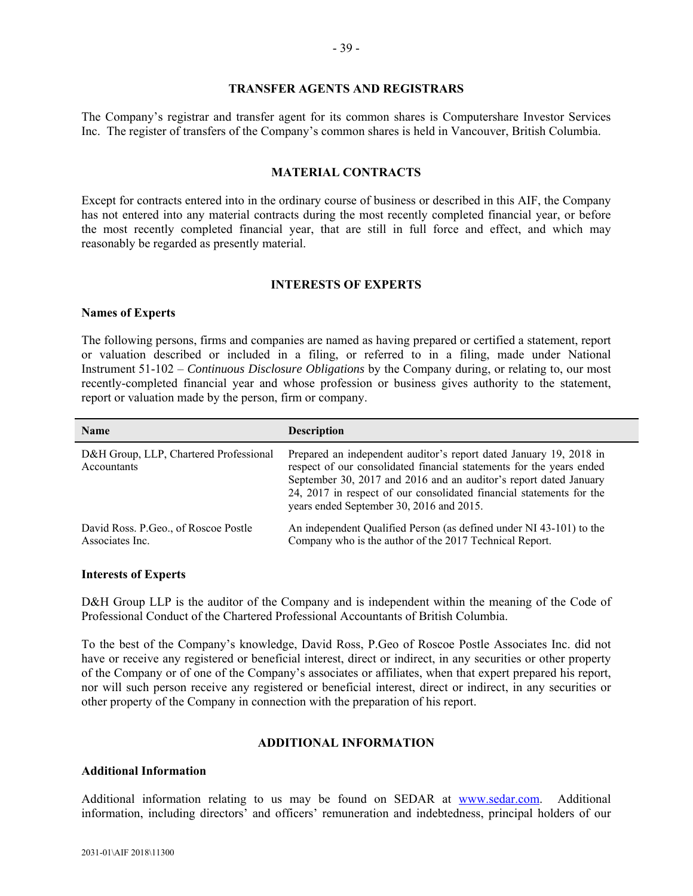#### **TRANSFER AGENTS AND REGISTRARS**

The Company's registrar and transfer agent for its common shares is Computershare Investor Services Inc. The register of transfers of the Company's common shares is held in Vancouver, British Columbia.

#### **MATERIAL CONTRACTS**

Except for contracts entered into in the ordinary course of business or described in this AIF, the Company has not entered into any material contracts during the most recently completed financial year, or before the most recently completed financial year, that are still in full force and effect, and which may reasonably be regarded as presently material.

#### **INTERESTS OF EXPERTS**

#### **Names of Experts**

The following persons, firms and companies are named as having prepared or certified a statement, report or valuation described or included in a filing, or referred to in a filing, made under National Instrument 51-102 – *Continuous Disclosure Obligations* by the Company during, or relating to, our most recently-completed financial year and whose profession or business gives authority to the statement, report or valuation made by the person, firm or company.

| <b>Name</b>                                              | <b>Description</b>                                                                                                                                                                                                                                                                                                                  |
|----------------------------------------------------------|-------------------------------------------------------------------------------------------------------------------------------------------------------------------------------------------------------------------------------------------------------------------------------------------------------------------------------------|
| D&H Group, LLP, Chartered Professional<br>Accountants    | Prepared an independent auditor's report dated January 19, 2018 in<br>respect of our consolidated financial statements for the years ended<br>September 30, 2017 and 2016 and an auditor's report dated January<br>24, 2017 in respect of our consolidated financial statements for the<br>years ended September 30, 2016 and 2015. |
| David Ross. P. Geo., of Roscoe Postle<br>Associates Inc. | An independent Qualified Person (as defined under NI 43-101) to the<br>Company who is the author of the 2017 Technical Report.                                                                                                                                                                                                      |

#### **Interests of Experts**

D&H Group LLP is the auditor of the Company and is independent within the meaning of the Code of Professional Conduct of the Chartered Professional Accountants of British Columbia.

To the best of the Company's knowledge, David Ross, P.Geo of Roscoe Postle Associates Inc. did not have or receive any registered or beneficial interest, direct or indirect, in any securities or other property of the Company or of one of the Company's associates or affiliates, when that expert prepared his report, nor will such person receive any registered or beneficial interest, direct or indirect, in any securities or other property of the Company in connection with the preparation of his report.

#### **ADDITIONAL INFORMATION**

#### **Additional Information**

Additional information relating to us may be found on SEDAR at www.sedar.com. Additional information, including directors' and officers' remuneration and indebtedness, principal holders of our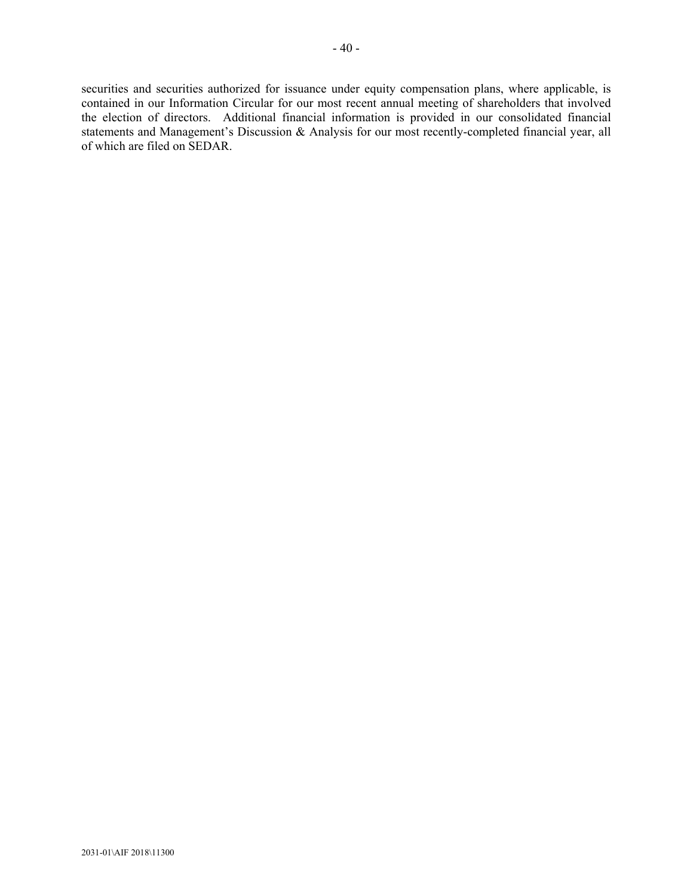securities and securities authorized for issuance under equity compensation plans, where applicable, is contained in our Information Circular for our most recent annual meeting of shareholders that involved the election of directors. Additional financial information is provided in our consolidated financial statements and Management's Discussion & Analysis for our most recently-completed financial year, all of which are filed on SEDAR.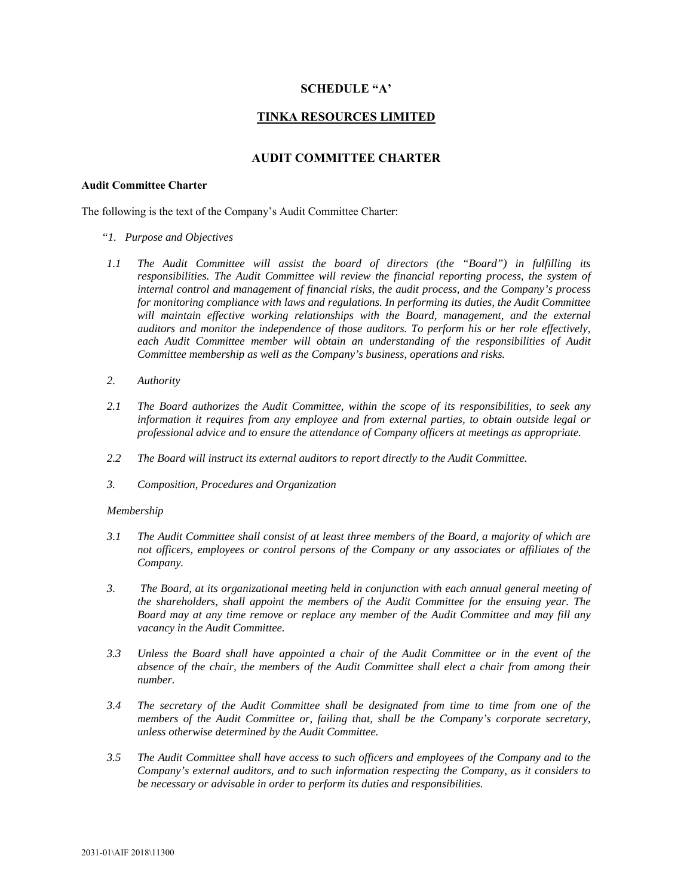#### **SCHEDULE "A'**

### **TINKA RESOURCES LIMITED**

#### **AUDIT COMMITTEE CHARTER**

#### **Audit Committee Charter**

The following is the text of the Company's Audit Committee Charter:

- *"1. Purpose and Objectives*
- *1.1 The Audit Committee will assist the board of directors (the "Board") in fulfilling its responsibilities. The Audit Committee will review the financial reporting process, the system of internal control and management of financial risks, the audit process, and the Company's process for monitoring compliance with laws and regulations. In performing its duties, the Audit Committee*  will maintain effective working relationships with the Board, management, and the external *auditors and monitor the independence of those auditors. To perform his or her role effectively,*  each Audit Committee member will obtain an understanding of the responsibilities of Audit *Committee membership as well as the Company's business, operations and risks.*
- *2. Authority*
- *2.1 The Board authorizes the Audit Committee, within the scope of its responsibilities, to seek any information it requires from any employee and from external parties, to obtain outside legal or professional advice and to ensure the attendance of Company officers at meetings as appropriate.*
- *2.2 The Board will instruct its external auditors to report directly to the Audit Committee.*
- *3. Composition, Procedures and Organization*

#### *Membership*

- *3.1 The Audit Committee shall consist of at least three members of the Board, a majority of which are not officers, employees or control persons of the Company or any associates or affiliates of the Company.*
- *3. The Board, at its organizational meeting held in conjunction with each annual general meeting of the shareholders, shall appoint the members of the Audit Committee for the ensuing year. The Board may at any time remove or replace any member of the Audit Committee and may fill any vacancy in the Audit Committee.*
- *3.3 Unless the Board shall have appointed a chair of the Audit Committee or in the event of the absence of the chair, the members of the Audit Committee shall elect a chair from among their number.*
- *3.4 The secretary of the Audit Committee shall be designated from time to time from one of the members of the Audit Committee or, failing that, shall be the Company's corporate secretary, unless otherwise determined by the Audit Committee.*
- *3.5 The Audit Committee shall have access to such officers and employees of the Company and to the Company's external auditors, and to such information respecting the Company, as it considers to be necessary or advisable in order to perform its duties and responsibilities.*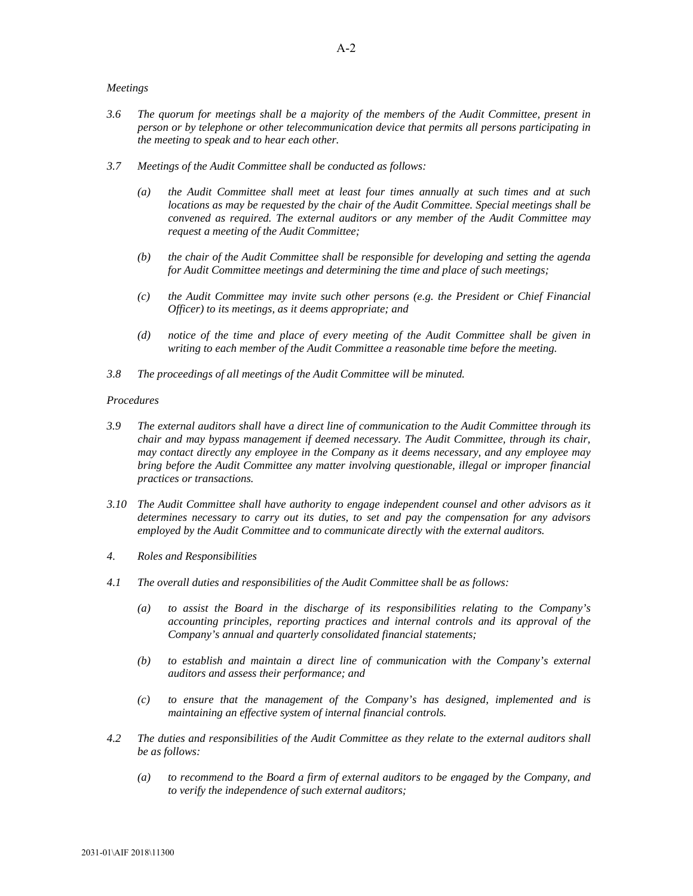#### *Meetings*

- *3.6 The quorum for meetings shall be a majority of the members of the Audit Committee, present in person or by telephone or other telecommunication device that permits all persons participating in the meeting to speak and to hear each other.*
- *3.7 Meetings of the Audit Committee shall be conducted as follows:* 
	- *(a) the Audit Committee shall meet at least four times annually at such times and at such locations as may be requested by the chair of the Audit Committee. Special meetings shall be convened as required. The external auditors or any member of the Audit Committee may request a meeting of the Audit Committee;*
	- *(b) the chair of the Audit Committee shall be responsible for developing and setting the agenda for Audit Committee meetings and determining the time and place of such meetings;*
	- *(c) the Audit Committee may invite such other persons (e.g. the President or Chief Financial Officer) to its meetings, as it deems appropriate; and*
	- *(d) notice of the time and place of every meeting of the Audit Committee shall be given in writing to each member of the Audit Committee a reasonable time before the meeting.*
- *3.8 The proceedings of all meetings of the Audit Committee will be minuted.*

#### *Procedures*

- *3.9 The external auditors shall have a direct line of communication to the Audit Committee through its chair and may bypass management if deemed necessary. The Audit Committee, through its chair, may contact directly any employee in the Company as it deems necessary, and any employee may bring before the Audit Committee any matter involving questionable, illegal or improper financial practices or transactions.*
- *3.10 The Audit Committee shall have authority to engage independent counsel and other advisors as it determines necessary to carry out its duties, to set and pay the compensation for any advisors employed by the Audit Committee and to communicate directly with the external auditors.*
- *4. Roles and Responsibilities*
- *4.1 The overall duties and responsibilities of the Audit Committee shall be as follows:* 
	- *(a) to assist the Board in the discharge of its responsibilities relating to the Company's accounting principles, reporting practices and internal controls and its approval of the Company's annual and quarterly consolidated financial statements;*
	- *(b) to establish and maintain a direct line of communication with the Company's external auditors and assess their performance; and*
	- *(c) to ensure that the management of the Company's has designed, implemented and is maintaining an effective system of internal financial controls.*
- *4.2 The duties and responsibilities of the Audit Committee as they relate to the external auditors shall be as follows:* 
	- *(a) to recommend to the Board a firm of external auditors to be engaged by the Company, and to verify the independence of such external auditors;*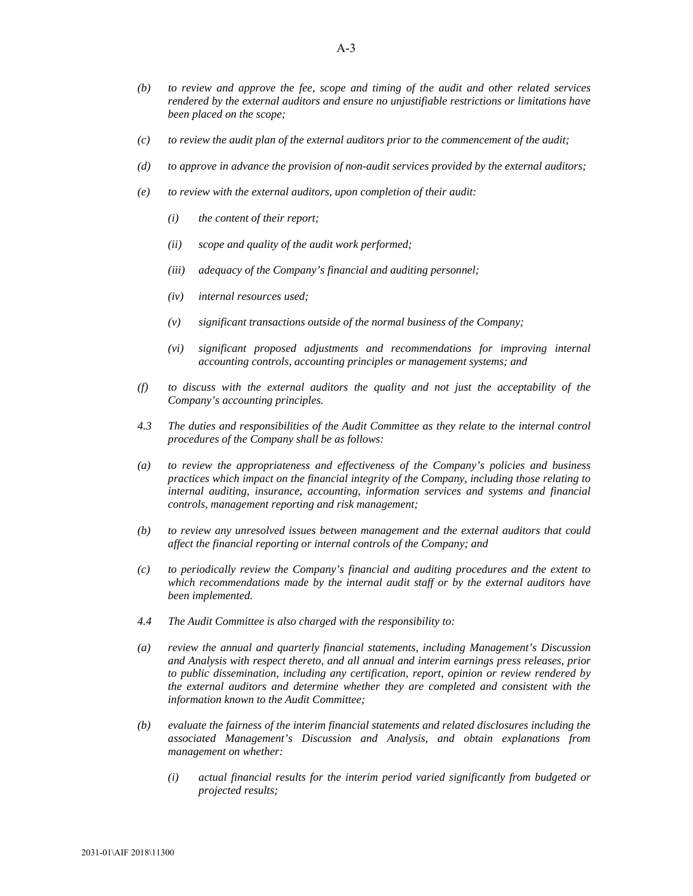- *(b) to review and approve the fee, scope and timing of the audit and other related services rendered by the external auditors and ensure no unjustifiable restrictions or limitations have been placed on the scope;*
- *(c) to review the audit plan of the external auditors prior to the commencement of the audit;*
- *(d) to approve in advance the provision of non-audit services provided by the external auditors;*
- *(e) to review with the external auditors, upon completion of their audit:* 
	- *(i) the content of their report;*
	- *(ii) scope and quality of the audit work performed;*
	- *(iii) adequacy of the Company's financial and auditing personnel;*
	- *(iv) internal resources used;*
	- *(v) significant transactions outside of the normal business of the Company;*
	- *(vi) significant proposed adjustments and recommendations for improving internal accounting controls, accounting principles or management systems; and*
- *(f) to discuss with the external auditors the quality and not just the acceptability of the Company's accounting principles.*
- *4.3 The duties and responsibilities of the Audit Committee as they relate to the internal control procedures of the Company shall be as follows:*
- *(a) to review the appropriateness and effectiveness of the Company's policies and business practices which impact on the financial integrity of the Company, including those relating to internal auditing, insurance, accounting, information services and systems and financial controls, management reporting and risk management;*
- *(b) to review any unresolved issues between management and the external auditors that could affect the financial reporting or internal controls of the Company; and*
- *(c) to periodically review the Company's financial and auditing procedures and the extent to which recommendations made by the internal audit staff or by the external auditors have been implemented.*
- *4.4 The Audit Committee is also charged with the responsibility to:*
- *(a) review the annual and quarterly financial statements, including Management's Discussion and Analysis with respect thereto, and all annual and interim earnings press releases, prior to public dissemination, including any certification, report, opinion or review rendered by the external auditors and determine whether they are completed and consistent with the information known to the Audit Committee;*
- *(b) evaluate the fairness of the interim financial statements and related disclosures including the associated Management's Discussion and Analysis, and obtain explanations from management on whether:* 
	- *(i) actual financial results for the interim period varied significantly from budgeted or projected results;*